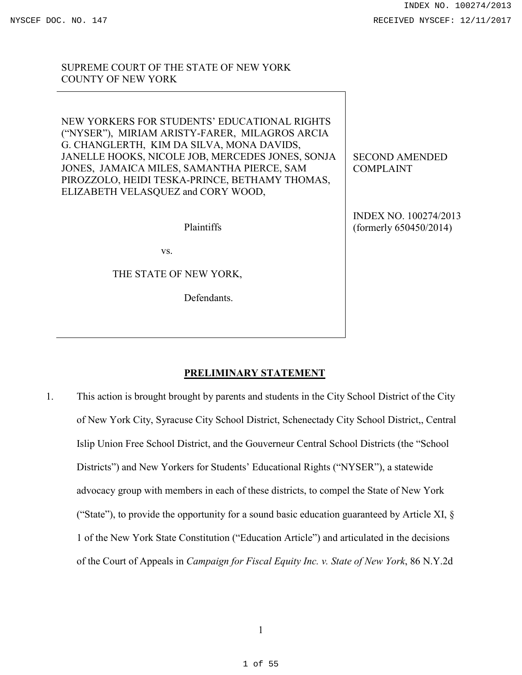SUPREME COURT OF THE STATE OF NEW YORK COUNTY OF NEW YORK

NEW YORKERS FOR STUDENTS' EDUCATIONAL RIGHTS ("NYSER"), MIRIAM ARISTY-FARER, MILAGROS ARCIA G. CHANGLERTH, KIM DA SILVA, MONA DAVIDS, JANELLE HOOKS, NICOLE JOB, MERCEDES JONES, SONJA JONES, JAMAICA MILES, SAMANTHA PIERCE, SAM PIROZZOLO, HEIDI TESKA-PRINCE, BETHAMY THOMAS, ELIZABETH VELASQUEZ and CORY WOOD,

Plaintiffs

vs.

THE STATE OF NEW YORK,

Defendants.

SECOND AMENDED COMPLAINT

INDEX NO. 100274/2013 (formerly 650450/2014)

# **PRELIMINARY STATEMENT**

1. This action is brought brought by parents and students in the City School District of the City of New York City, Syracuse City School District, Schenectady City School District,, Central Islip Union Free School District, and the Gouverneur Central School Districts (the "School Districts") and New Yorkers for Students' Educational Rights ("NYSER"), a statewide advocacy group with members in each of these districts, to compel the State of New York ("State"), to provide the opportunity for a sound basic education guaranteed by Article XI,  $\S$ 1 of the New York State Constitution ("Education Article") and articulated in the decisions of the Court of Appeals in *Campaign for Fiscal Equity Inc. v. State of New York*, 86 N.Y.2d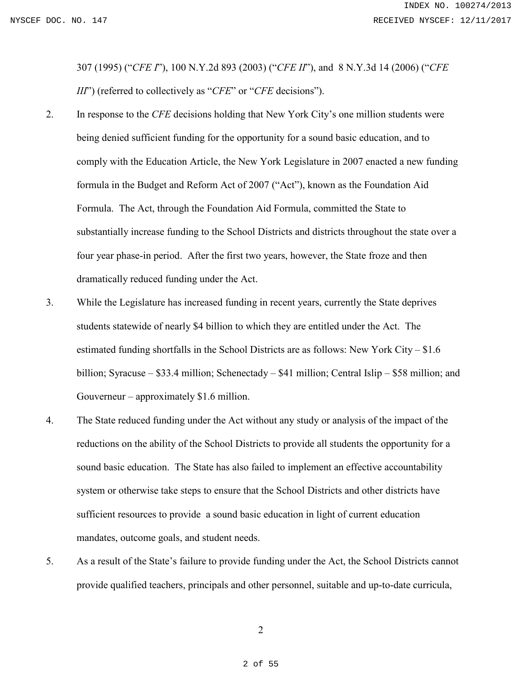307 (1995) ("*CFE I*"), 100 N.Y.2d 893 (2003) ("*CFE II*"), and 8 N.Y.3d 14 (2006) ("*CFE III*") (referred to collectively as "*CFE*" or "*CFE* decisions").

- 2. In response to the *CFE* decisions holding that New York City's one million students were being denied sufficient funding for the opportunity for a sound basic education, and to comply with the Education Article, the New York Legislature in 2007 enacted a new funding formula in the Budget and Reform Act of 2007 ("Act"), known as the Foundation Aid Formula. The Act, through the Foundation Aid Formula, committed the State to substantially increase funding to the School Districts and districts throughout the state over a four year phase-in period. After the first two years, however, the State froze and then dramatically reduced funding under the Act.
- 3. While the Legislature has increased funding in recent years, currently the State deprives students statewide of nearly \$4 billion to which they are entitled under the Act. The estimated funding shortfalls in the School Districts are as follows: New York City – \$1.6 billion; Syracuse – \$33.4 million; Schenectady – \$41 million; Central Islip – \$58 million; and Gouverneur – approximately \$1.6 million.
- 4. The State reduced funding under the Act without any study or analysis of the impact of the reductions on the ability of the School Districts to provide all students the opportunity for a sound basic education. The State has also failed to implement an effective accountability system or otherwise take steps to ensure that the School Districts and other districts have sufficient resources to provide a sound basic education in light of current education mandates, outcome goals, and student needs.
- 5. As a result of the State's failure to provide funding under the Act, the School Districts cannot provide qualified teachers, principals and other personnel, suitable and up-to-date curricula,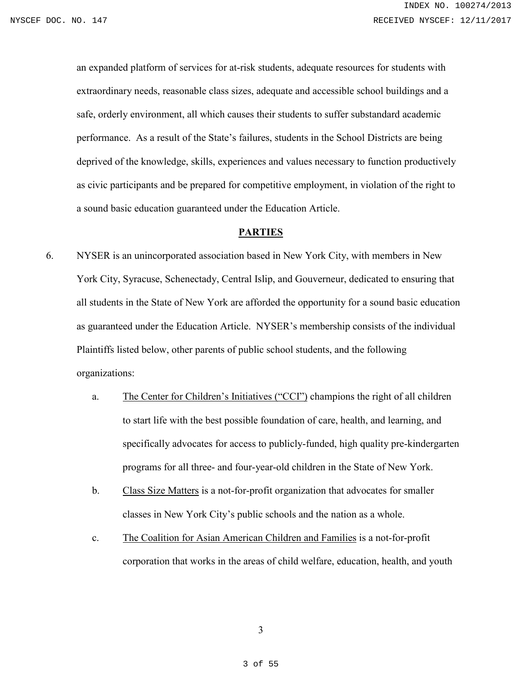an expanded platform of services for at-risk students, adequate resources for students with extraordinary needs, reasonable class sizes, adequate and accessible school buildings and a safe, orderly environment, all which causes their students to suffer substandard academic performance. As a result of the State's failures, students in the School Districts are being deprived of the knowledge, skills, experiences and values necessary to function productively as civic participants and be prepared for competitive employment, in violation of the right to a sound basic education guaranteed under the Education Article.

# **PARTIES**

- 6. NYSER is an unincorporated association based in New York City, with members in New York City, Syracuse, Schenectady, Central Islip, and Gouverneur, dedicated to ensuring that all students in the State of New York are afforded the opportunity for a sound basic education as guaranteed under the Education Article. NYSER's membership consists of the individual Plaintiffs listed below, other parents of public school students, and the following organizations:
	- a. The Center for Children's Initiatives ("CCI") champions the right of all children to start life with the best possible foundation of care, health, and learning, and specifically advocates for access to publicly-funded, high quality pre-kindergarten programs for all three- and four-year-old children in the State of New York.
	- b. Class Size Matters is a not-for-profit organization that advocates for smaller classes in New York City's public schools and the nation as a whole.
	- c. The Coalition for Asian American Children and Families is a not-for-profit corporation that works in the areas of child welfare, education, health, and youth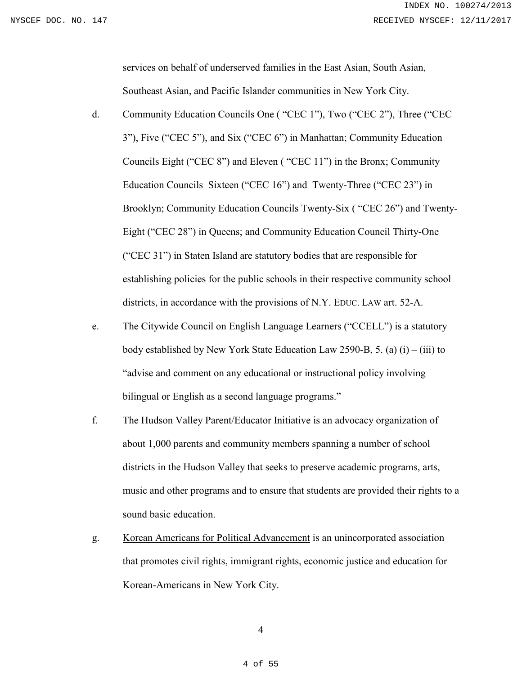services on behalf of underserved families in the East Asian, South Asian, Southeast Asian, and Pacific Islander communities in New York City.

- d. Community Education Councils One ( "CEC 1"), Two ("CEC 2"), Three ("CEC 3"), Five ("CEC 5"), and Six ("CEC 6") in Manhattan; Community Education Councils Eight ("CEC 8") and Eleven ( "CEC 11") in the Bronx; Community Education Councils Sixteen ("CEC 16") and Twenty-Three ("CEC 23") in Brooklyn; Community Education Councils Twenty-Six ( "CEC 26") and Twenty-Eight ("CEC 28") in Queens; and Community Education Council Thirty-One ("CEC 31") in Staten Island are statutory bodies that are responsible for establishing policies for the public schools in their respective community school districts, in accordance with the provisions of N.Y. EDUC. LAW art. 52-A.
- e. The Citywide Council on English Language Learners ("CCELL") is a statutory body established by New York State Education Law 2590-B, 5. (a)  $(i) - (iii)$  to "advise and comment on any educational or instructional policy involving bilingual or English as a second language programs."
- f. The Hudson Valley Parent/Educator Initiative is an advocacy organization of about 1,000 parents and community members spanning a number of school districts in the Hudson Valley that seeks to preserve academic programs, arts, music and other programs and to ensure that students are provided their rights to a sound basic education.
- g. Korean Americans for Political Advancement is an unincorporated association that promotes civil rights, immigrant rights, economic justice and education for Korean-Americans in New York City.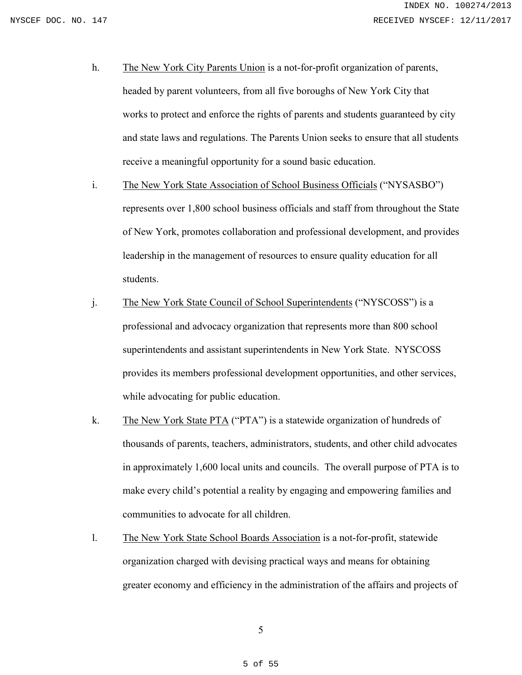- h. The New York City Parents Union is a not-for-profit organization of parents, headed by parent volunteers, from all five boroughs of New York City that works to protect and enforce the rights of parents and students guaranteed by city and state laws and regulations. The Parents Union seeks to ensure that all students receive a meaningful opportunity for a sound basic education.
- i. The New York State Association of School Business Officials ("NYSASBO") represents over 1,800 school business officials and staff from throughout the State of New York, promotes collaboration and professional development, and provides leadership in the management of resources to ensure quality education for all students.
- j. The New York State Council of School Superintendents ("NYSCOSS") is a professional and advocacy organization that represents more than 800 school superintendents and assistant superintendents in New York State. NYSCOSS provides its members professional development opportunities, and other services, while advocating for public education.
- k. The New York State PTA ("PTA") is a statewide organization of hundreds of thousands of parents, teachers, administrators, students, and other child advocates in approximately 1,600 local units and councils. The overall purpose of PTA is to make every child's potential a reality by engaging and empowering families and communities to advocate for all children.
- l. The New York State School Boards Association is a not-for-profit, statewide organization charged with devising practical ways and means for obtaining greater economy and efficiency in the administration of the affairs and projects of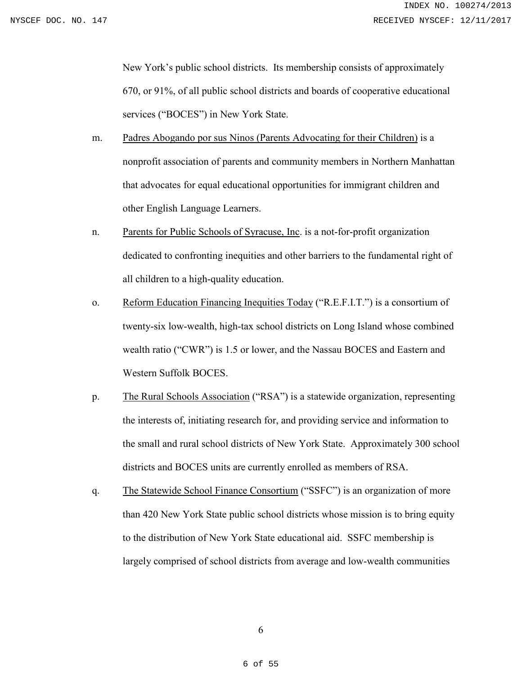New York's public school districts. Its membership consists of approximately 670, or 91%, of all public school districts and boards of cooperative educational services ("BOCES") in New York State.

- m. Padres Abogando por sus Ninos (Parents Advocating for their Children) is a nonprofit association of parents and community members in Northern Manhattan that advocates for equal educational opportunities for immigrant children and other English Language Learners.
- n. Parents for Public Schools of Syracuse, Inc. is a not-for-profit organization dedicated to confronting inequities and other barriers to the fundamental right of all children to a high-quality education.
- o. Reform Education Financing Inequities Today ("R.E.F.I.T.") is a consortium of twenty-six low-wealth, high-tax school districts on Long Island whose combined wealth ratio ("CWR") is 1.5 or lower, and the Nassau BOCES and Eastern and Western Suffolk BOCES.
- p. The Rural Schools Association ("RSA") is a statewide organization, representing the interests of, initiating research for, and providing service and information to the small and rural school districts of New York State. Approximately 300 school districts and BOCES units are currently enrolled as members of RSA.
- q. The Statewide School Finance Consortium ("SSFC") is an organization of more than 420 New York State public school districts whose mission is to bring equity to the distribution of New York State educational aid. SSFC membership is largely comprised of school districts from average and low-wealth communities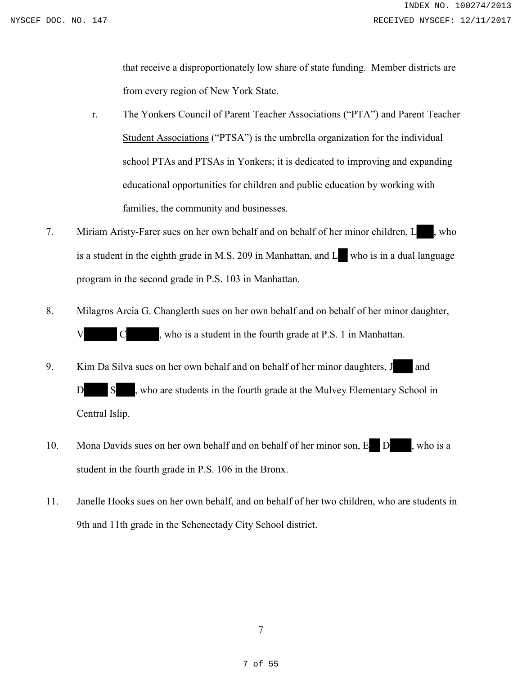that receive a disproportionately low share of state funding. Member districts are from every region of New York State.

- r. The Yonkers Council of Parent Teacher Associations ("PTA") and Parent Teacher Student Associations ("PTSA") is the umbrella organization for the individual school PTAs and PTSAs in Yonkers; it is dedicated to improving and expanding educational opportunities for children and public education by working with families, the community and businesses.
- 7. Miriam Aristy-Farer sues on her own behalf and on behalf of her minor children, L., who is a student in the eighth grade in M.S. 209 in Manhattan, and L who is in a dual language program in the second grade in P.S. 103 in Manhattan.
- 8. Milagros Arcia G. Changlerth sues on her own behalf and on behalf of her minor daughter,  $C \longrightarrow$ , who is a student in the fourth grade at P.S. 1 in Manhattan.
- 9. Kim Da Silva sues on her own behalf and on behalf of her minor daughters, J and D S , who are students in the fourth grade at the Mulvey Elementary School in Central Islip.
- 10. Mona Davids sues on her own behalf and on behalf of her minor son, E D, who is a student in the fourth grade in P.S. 106 in the Bronx.
- 11. Janelle Hooks sues on her own behalf, and on behalf of her two children, who are students in 9th and 11th grade in the Schenectady City School district.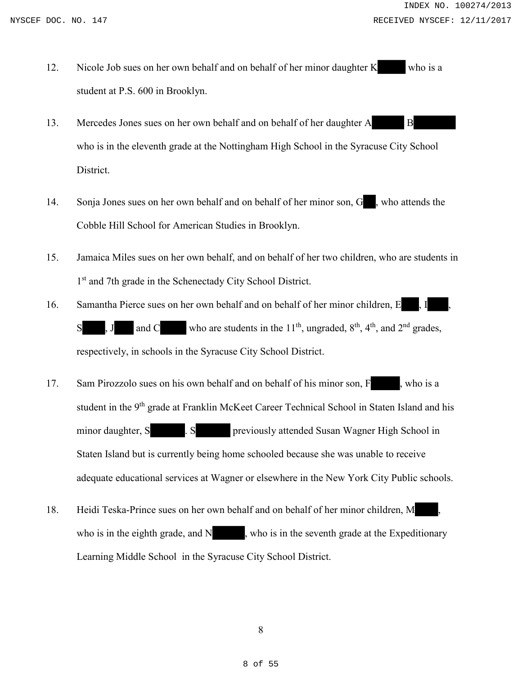- 12. Nicole Job sues on her own behalf and on behalf of her minor daughter K who is a student at P.S. 600 in Brooklyn.
- 13. Mercedes Jones sues on her own behalf and on behalf of her daughter A B who is in the eleventh grade at the Nottingham High School in the Syracuse City School District.
- 14. Sonja Jones sues on her own behalf and on behalf of her minor son, G , who attends the Cobble Hill School for American Studies in Brooklyn.
- 15. Jamaica Miles sues on her own behalf, and on behalf of her two children, who are students in 1<sup>st</sup> and 7th grade in the Schenectady City School District.
- 16. Samantha Pierce sues on her own behalf and on behalf of her minor children, E,  $S$ , J and C who are students in the 11<sup>th</sup>, ungraded,  $8<sup>th</sup>$ , 4<sup>th</sup>, and 2<sup>nd</sup> grades, respectively, in schools in the Syracuse City School District.
- 17. Sam Pirozzolo sues on his own behalf and on behalf of his minor son, F, who is a student in the 9<sup>th</sup> grade at Franklin McKeet Career Technical School in Staten Island and his minor daughter, S . S . S previously attended Susan Wagner High School in Staten Island but is currently being home schooled because she was unable to receive adequate educational services at Wagner or elsewhere in the New York City Public schools.
- 18. Heidi Teska-Prince sues on her own behalf and on behalf of her minor children, M who is in the eighth grade, and  $N$ , who is in the seventh grade at the Expeditionary Learning Middle School in the Syracuse City School District.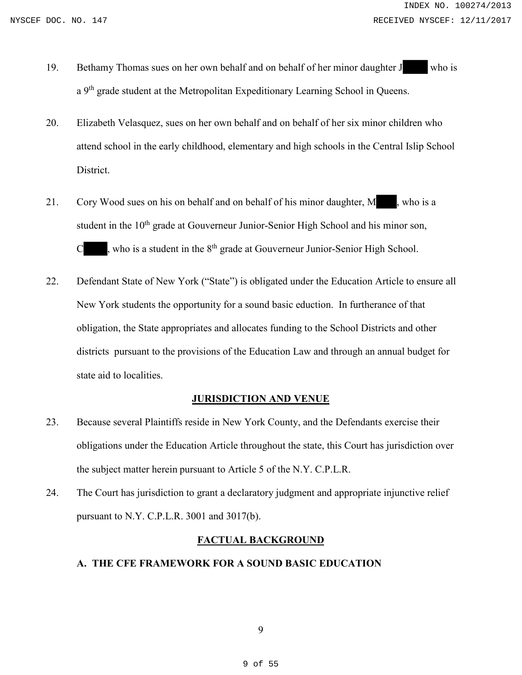- 19. Bethamy Thomas sues on her own behalf and on behalf of her minor daughter J who is a 9<sup>th</sup> grade student at the Metropolitan Expeditionary Learning School in Queens.
- 20. Elizabeth Velasquez, sues on her own behalf and on behalf of her six minor children who attend school in the early childhood, elementary and high schools in the Central Islip School District.
- 21. Cory Wood sues on his on behalf and on behalf of his minor daughter, M , who is a student in the 10<sup>th</sup> grade at Gouverneur Junior-Senior High School and his minor son,  $C_{\rm s}$ , who is a student in the  $8^{\text{th}}$  grade at Gouverneur Junior-Senior High School.
- 22. Defendant State of New York ("State") is obligated under the Education Article to ensure all New York students the opportunity for a sound basic eduction. In furtherance of that obligation, the State appropriates and allocates funding to the School Districts and other districts pursuant to the provisions of the Education Law and through an annual budget for state aid to localities.

# **JURISDICTION AND VENUE**

- 23. Because several Plaintiffs reside in New York County, and the Defendants exercise their obligations under the Education Article throughout the state, this Court has jurisdiction over the subject matter herein pursuant to Article 5 of the N.Y. C.P.L.R.
- 24. The Court has jurisdiction to grant a declaratory judgment and appropriate injunctive relief pursuant to N.Y. C.P.L.R. 3001 and 3017(b).

# **FACTUAL BACKGROUND**

# **A. THE CFE FRAMEWORK FOR A SOUND BASIC EDUCATION**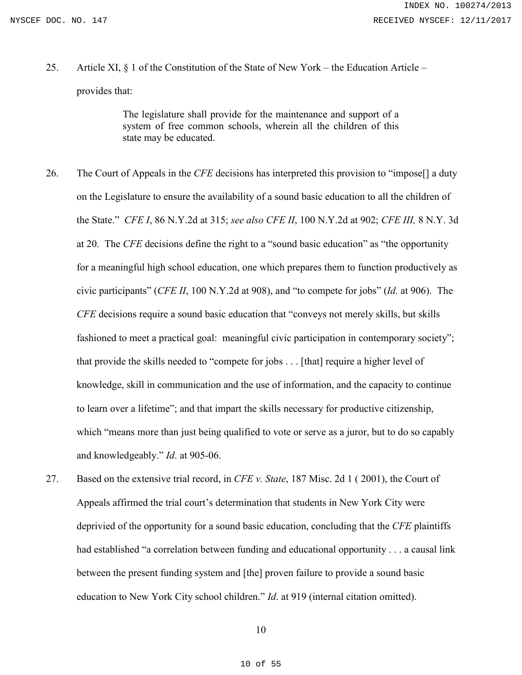25. Article XI, § 1 of the Constitution of the State of New York – the Education Article – provides that:

> The legislature shall provide for the maintenance and support of a system of free common schools, wherein all the children of this state may be educated.

- 26. The Court of Appeals in the *CFE* decisions has interpreted this provision to "impose[] a duty on the Legislature to ensure the availability of a sound basic education to all the children of the State." *CFE I*, 86 N.Y.2d at 315; *see also CFE II*, 100 N.Y.2d at 902; *CFE III,* 8 N.Y. 3d at 20. The *CFE* decisions define the right to a "sound basic education" as "the opportunity for a meaningful high school education, one which prepares them to function productively as civic participants" (*CFE II*, 100 N.Y.2d at 908), and "to compete for jobs" (*Id.* at 906). The *CFE* decisions require a sound basic education that "conveys not merely skills, but skills fashioned to meet a practical goal: meaningful civic participation in contemporary society"; that provide the skills needed to "compete for jobs . . . [that] require a higher level of knowledge, skill in communication and the use of information, and the capacity to continue to learn over a lifetime"; and that impart the skills necessary for productive citizenship, which "means more than just being qualified to vote or serve as a juror, but to do so capably and knowledgeably." *Id*. at 905-06.
- 27. Based on the extensive trial record, in *CFE v. State*, 187 Misc. 2d 1 ( 2001), the Court of Appeals affirmed the trial court's determination that students in New York City were deprivied of the opportunity for a sound basic education, concluding that the *CFE* plaintiffs had established "a correlation between funding and educational opportunity . . . a causal link between the present funding system and [the] proven failure to provide a sound basic education to New York City school children." *Id*. at 919 (internal citation omitted).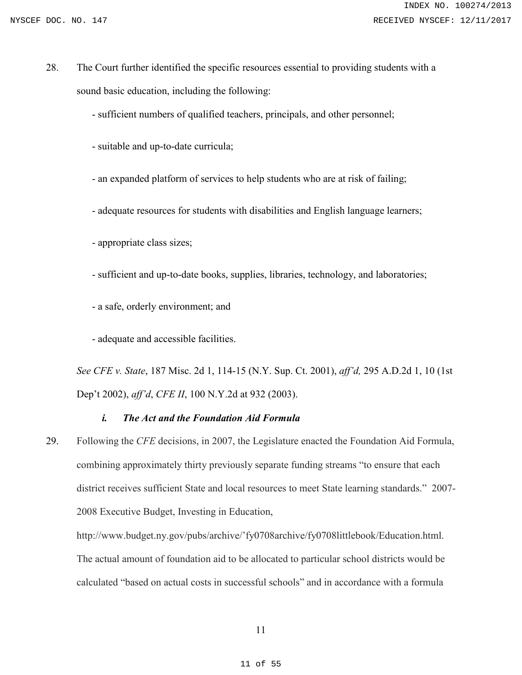28. The Court further identified the specific resources essential to providing students with a sound basic education, including the following:

- sufficient numbers of qualified teachers, principals, and other personnel;

- suitable and up-to-date curricula;

- an expanded platform of services to help students who are at risk of failing;

- adequate resources for students with disabilities and English language learners;

- appropriate class sizes;

- sufficient and up-to-date books, supplies, libraries, technology, and laboratories;

- a safe, orderly environment; and

- adequate and accessible facilities.

*See CFE v. State*, 187 Misc. 2d 1, 114-15 (N.Y. Sup. Ct. 2001), *aff'd,* 295 A.D.2d 1, 10 (1st Dep't 2002), *aff'd*, *CFE II*, 100 N.Y.2d at 932 (2003).

# *i. The Act and the Foundation Aid Formula*

29. Following the *CFE* decisions, in 2007, the Legislature enacted the Foundation Aid Formula, combining approximately thirty previously separate funding streams "to ensure that each district receives sufficient State and local resources to meet State learning standards." 2007- 2008 Executive Budget, Investing in Education,

http://www.budget.ny.gov/pubs/archive/'fy0708archive/fy0708littlebook/Education.html. The actual amount of foundation aid to be allocated to particular school districts would be calculated "based on actual costs in successful schools" and in accordance with a formula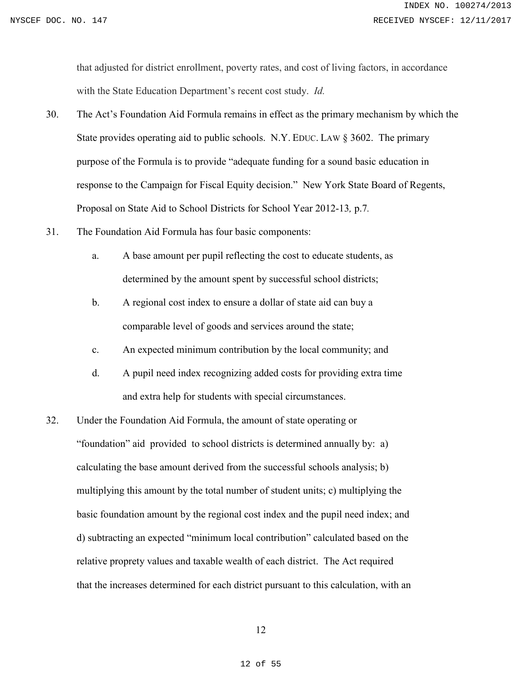that adjusted for district enrollment, poverty rates, and cost of living factors, in accordance with the State Education Department's recent cost study. *Id.*

- 30. The Act's Foundation Aid Formula remains in effect as the primary mechanism by which the State provides operating aid to public schools. N.Y. EDUC. LAW § 3602. The primary purpose of the Formula is to provide "adequate funding for a sound basic education in response to the Campaign for Fiscal Equity decision." New York State Board of Regents, Proposal on State Aid to School Districts for School Year 2012-13*,* p.7*.*
- 31. The Foundation Aid Formula has four basic components:
	- a. A base amount per pupil reflecting the cost to educate students, as determined by the amount spent by successful school districts;
	- b. A regional cost index to ensure a dollar of state aid can buy a comparable level of goods and services around the state;
	- c. An expected minimum contribution by the local community; and
	- d. A pupil need index recognizing added costs for providing extra time and extra help for students with special circumstances.
- 32. Under the Foundation Aid Formula, the amount of state operating or "foundation" aid provided to school districts is determined annually by: a) calculating the base amount derived from the successful schools analysis; b) multiplying this amount by the total number of student units; c) multiplying the basic foundation amount by the regional cost index and the pupil need index; and d) subtracting an expected "minimum local contribution" calculated based on the relative proprety values and taxable wealth of each district. The Act required that the increases determined for each district pursuant to this calculation, with an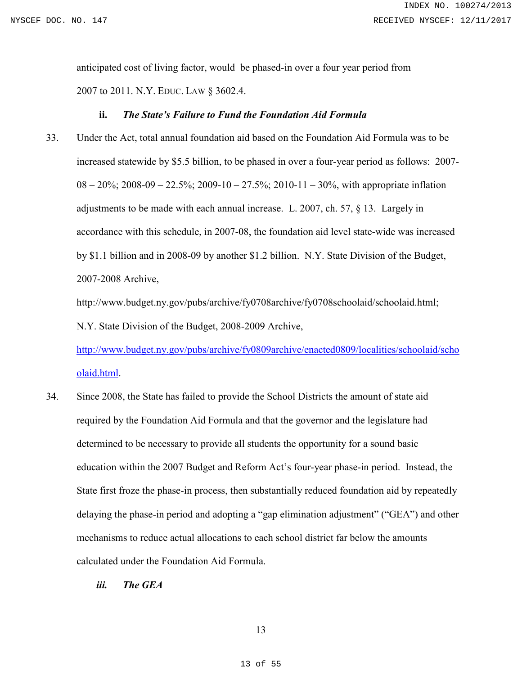anticipated cost of living factor, would be phased-in over a four year period from 2007 to 2011. N.Y. EDUC. LAW § 3602.4.

### **ii.** *The State's Failure to Fund the Foundation Aid Formula*

33. Under the Act, total annual foundation aid based on the Foundation Aid Formula was to be increased statewide by \$5.5 billion, to be phased in over a four-year period as follows: 2007-  $08 - 20\%$ ;  $2008 - 09 - 22.5\%$ ;  $2009 - 10 - 27.5\%$ ;  $2010 - 11 - 30\%$ , with appropriate inflation adjustments to be made with each annual increase. L. 2007, ch. 57, § 13. Largely in accordance with this schedule, in 2007-08, the foundation aid level state-wide was increased by \$1.1 billion and in 2008-09 by another \$1.2 billion. N.Y. State Division of the Budget, 2007-2008 Archive,

http://www.budget.ny.gov/pubs/archive/fy0708archive/fy0708schoolaid/schoolaid.html; N.Y. State Division of the Budget, 2008-2009 Archive,

http://www.budget.ny.gov/pubs/archive/fy0809archive/enacted0809/localities/schoolaid/scho olaid.html.

- 34. Since 2008, the State has failed to provide the School Districts the amount of state aid required by the Foundation Aid Formula and that the governor and the legislature had determined to be necessary to provide all students the opportunity for a sound basic education within the 2007 Budget and Reform Act's four-year phase-in period. Instead, the State first froze the phase-in process, then substantially reduced foundation aid by repeatedly delaying the phase-in period and adopting a "gap elimination adjustment" ("GEA") and other mechanisms to reduce actual allocations to each school district far below the amounts calculated under the Foundation Aid Formula.
	- *iii. The GEA*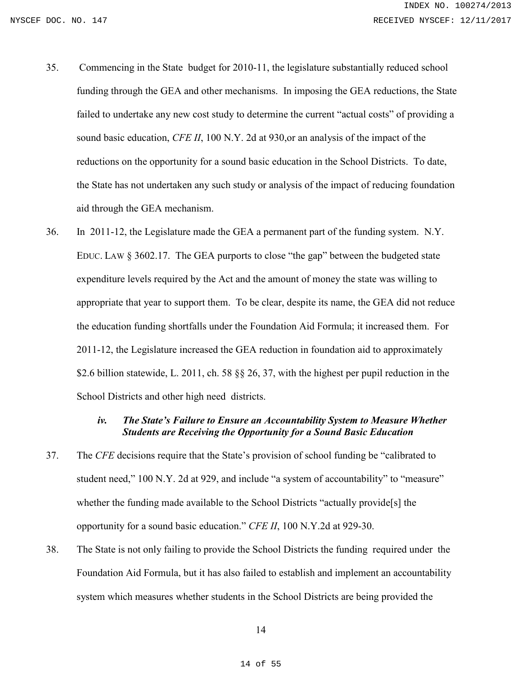- 35. Commencing in the State budget for 2010-11, the legislature substantially reduced school funding through the GEA and other mechanisms. In imposing the GEA reductions, the State failed to undertake any new cost study to determine the current "actual costs" of providing a sound basic education, *CFE II*, 100 N.Y. 2d at 930,or an analysis of the impact of the reductions on the opportunity for a sound basic education in the School Districts. To date, the State has not undertaken any such study or analysis of the impact of reducing foundation aid through the GEA mechanism.
- 36. In 2011-12, the Legislature made the GEA a permanent part of the funding system. N.Y. EDUC. LAW § 3602.17. The GEA purports to close "the gap" between the budgeted state expenditure levels required by the Act and the amount of money the state was willing to appropriate that year to support them. To be clear, despite its name, the GEA did not reduce the education funding shortfalls under the Foundation Aid Formula; it increased them. For 2011-12, the Legislature increased the GEA reduction in foundation aid to approximately \$2.6 billion statewide, L. 2011, ch. 58 §§ 26, 37, with the highest per pupil reduction in the School Districts and other high need districts.

# *iv. The State's Failure to Ensure an Accountability System to Measure Whether Students are Receiving the Opportunity for a Sound Basic Education*

- 37. The *CFE* decisions require that the State's provision of school funding be "calibrated to student need," 100 N.Y. 2d at 929, and include "a system of accountability" to "measure" whether the funding made available to the School Districts "actually provide[s] the opportunity for a sound basic education." *CFE II*, 100 N.Y.2d at 929-30.
- 38. The State is not only failing to provide the School Districts the funding required under the Foundation Aid Formula, but it has also failed to establish and implement an accountability system which measures whether students in the School Districts are being provided the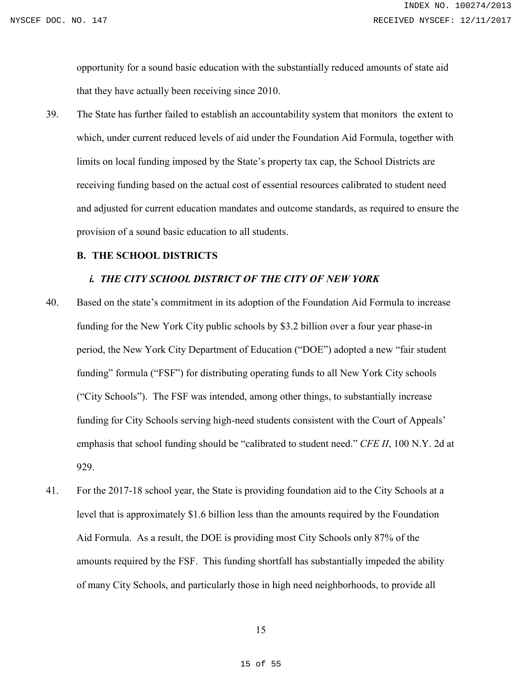opportunity for a sound basic education with the substantially reduced amounts of state aid that they have actually been receiving since 2010.

39. The State has further failed to establish an accountability system that monitors the extent to which, under current reduced levels of aid under the Foundation Aid Formula, together with limits on local funding imposed by the State's property tax cap, the School Districts are receiving funding based on the actual cost of essential resources calibrated to student need and adjusted for current education mandates and outcome standards, as required to ensure the provision of a sound basic education to all students.

# **B. THE SCHOOL DISTRICTS**

### *i. THE CITY SCHOOL DISTRICT OF THE CITY OF NEW YORK*

- 40. Based on the state's commitment in its adoption of the Foundation Aid Formula to increase funding for the New York City public schools by \$3.2 billion over a four year phase-in period, the New York City Department of Education ("DOE") adopted a new "fair student funding" formula ("FSF") for distributing operating funds to all New York City schools ("City Schools"). The FSF was intended, among other things, to substantially increase funding for City Schools serving high-need students consistent with the Court of Appeals' emphasis that school funding should be "calibrated to student need." *CFE II*, 100 N.Y. 2d at 929.
- 41. For the 2017-18 school year, the State is providing foundation aid to the City Schools at a level that is approximately \$1.6 billion less than the amounts required by the Foundation Aid Formula. As a result, the DOE is providing most City Schools only 87% of the amounts required by the FSF. This funding shortfall has substantially impeded the ability of many City Schools, and particularly those in high need neighborhoods, to provide all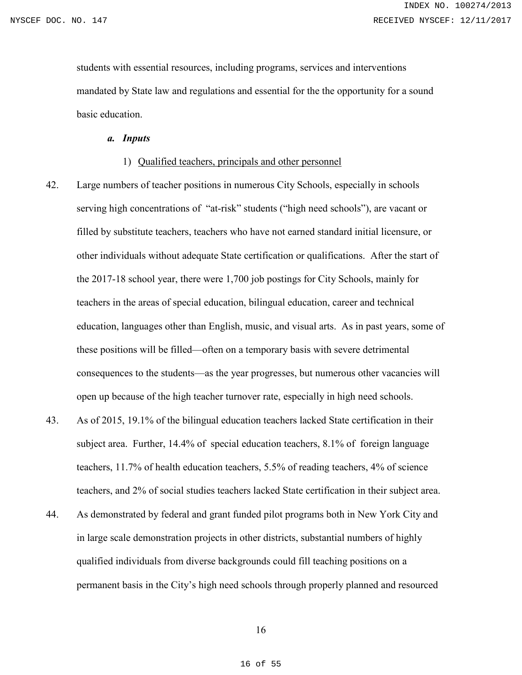students with essential resources, including programs, services and interventions mandated by State law and regulations and essential for the the opportunity for a sound basic education.

*a. Inputs* 

### 1) Qualified teachers, principals and other personnel

- 42. Large numbers of teacher positions in numerous City Schools, especially in schools serving high concentrations of "at-risk" students ("high need schools"), are vacant or filled by substitute teachers, teachers who have not earned standard initial licensure, or other individuals without adequate State certification or qualifications. After the start of the 2017-18 school year, there were 1,700 job postings for City Schools, mainly for teachers in the areas of special education, bilingual education, career and technical education, languages other than English, music, and visual arts. As in past years, some of these positions will be filled—often on a temporary basis with severe detrimental consequences to the students—as the year progresses, but numerous other vacancies will open up because of the high teacher turnover rate, especially in high need schools.
- 43. As of 2015, 19.1% of the bilingual education teachers lacked State certification in their subject area. Further, 14.4% of special education teachers, 8.1% of foreign language teachers, 11.7% of health education teachers, 5.5% of reading teachers, 4% of science teachers, and 2% of social studies teachers lacked State certification in their subject area.
- 44. As demonstrated by federal and grant funded pilot programs both in New York City and in large scale demonstration projects in other districts, substantial numbers of highly qualified individuals from diverse backgrounds could fill teaching positions on a permanent basis in the City's high need schools through properly planned and resourced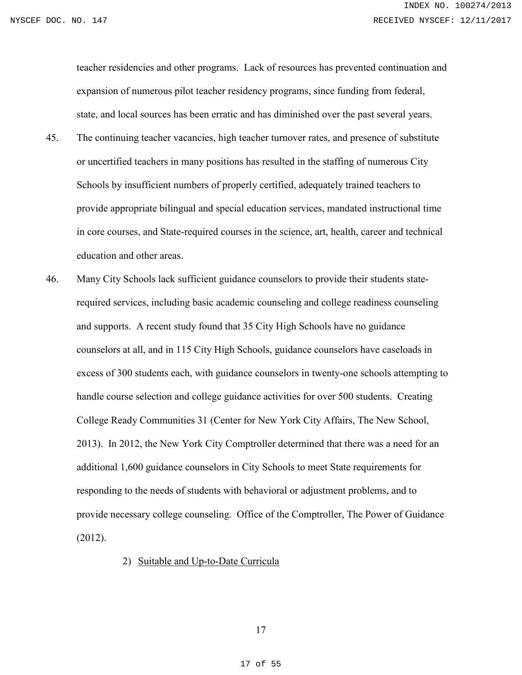teacher residencies and other programs. Lack of resources has prevented continuation and expansion of numerous pilot teacher residency programs, since funding from federal, state, and local sources has been erratic and has diminished over the past several years.

- 45. The continuing teacher vacancies, high teacher turnover rates, and presence of substitute or uncertified teachers in many positions has resulted in the staffing of numerous City Schools by insufficient numbers of properly certified, adequately trained teachers to provide appropriate bilingual and special education services, mandated instructional time in core courses, and State-required courses in the science, art, health, career and technical education and other areas.
- 46. Many City Schools lack sufficient guidance counselors to provide their students staterequired services, including basic academic counseling and college readiness counseling and supports. A recent study found that 35 City High Schools have no guidance counselors at all, and in 115 City High Schools, guidance counselors have caseloads in excess of 300 students each, with guidance counselors in twenty-one schools attempting to handle course selection and college guidance activities for over 500 students. Creating College Ready Communities 31 (Center for New York City Affairs, The New School, 2013). In 2012, the New York City Comptroller determined that there was a need for an additional 1,600 guidance counselors in City Schools to meet State requirements for responding to the needs of students with behavioral or adjustment problems, and to provide necessary college counseling. Office of the Comptroller, The Power of Guidance (2012).

# 2) Suitable and Up-to-Date Curricula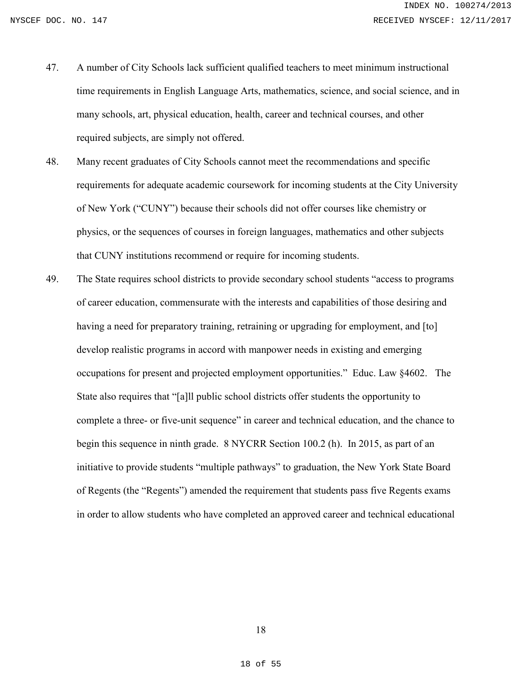- 47. A number of City Schools lack sufficient qualified teachers to meet minimum instructional time requirements in English Language Arts, mathematics, science, and social science, and in many schools, art, physical education, health, career and technical courses, and other required subjects, are simply not offered.
- 48. Many recent graduates of City Schools cannot meet the recommendations and specific requirements for adequate academic coursework for incoming students at the City University of New York ("CUNY") because their schools did not offer courses like chemistry or physics, or the sequences of courses in foreign languages, mathematics and other subjects that CUNY institutions recommend or require for incoming students.
- 49. The State requires school districts to provide secondary school students "access to programs of career education, commensurate with the interests and capabilities of those desiring and having a need for preparatory training, retraining or upgrading for employment, and [to] develop realistic programs in accord with manpower needs in existing and emerging occupations for present and projected employment opportunities." Educ. Law §4602. The State also requires that "[a]ll public school districts offer students the opportunity to complete a three- or five-unit sequence" in career and technical education, and the chance to begin this sequence in ninth grade. 8 NYCRR Section 100.2 (h). In 2015, as part of an initiative to provide students "multiple pathways" to graduation, the New York State Board of Regents (the "Regents") amended the requirement that students pass five Regents exams in order to allow students who have completed an approved career and technical educational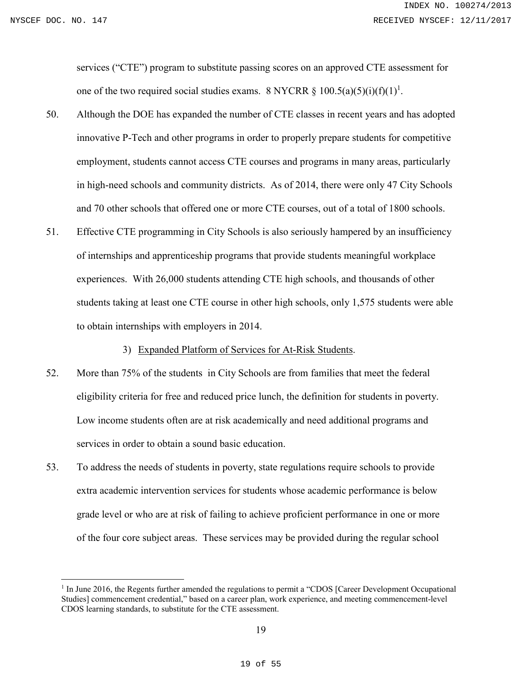services ("CTE") program to substitute passing scores on an approved CTE assessment for one of the two required social studies exams. 8 NYCRR  $\S$  100.5(a)(5)(i)(f)(1)<sup>1</sup>.

- 50. Although the DOE has expanded the number of CTE classes in recent years and has adopted innovative P-Tech and other programs in order to properly prepare students for competitive employment, students cannot access CTE courses and programs in many areas, particularly in high-need schools and community districts. As of 2014, there were only 47 City Schools and 70 other schools that offered one or more CTE courses, out of a total of 1800 schools.
- 51. Effective CTE programming in City Schools is also seriously hampered by an insufficiency of internships and apprenticeship programs that provide students meaningful workplace experiences. With 26,000 students attending CTE high schools, and thousands of other students taking at least one CTE course in other high schools, only 1,575 students were able to obtain internships with employers in 2014.

3) Expanded Platform of Services for At-Risk Students.

- 52. More than 75% of the students in City Schools are from families that meet the federal eligibility criteria for free and reduced price lunch, the definition for students in poverty. Low income students often are at risk academically and need additional programs and services in order to obtain a sound basic education.
- 53. To address the needs of students in poverty, state regulations require schools to provide extra academic intervention services for students whose academic performance is below grade level or who are at risk of failing to achieve proficient performance in one or more of the four core subject areas. These services may be provided during the regular school

<sup>&</sup>lt;sup>1</sup> In June 2016, the Regents further amended the regulations to permit a "CDOS [Career Development Occupational Studies] commencement credential," based on a career plan, work experience, and meeting commencement-level CDOS learning standards, to substitute for the CTE assessment.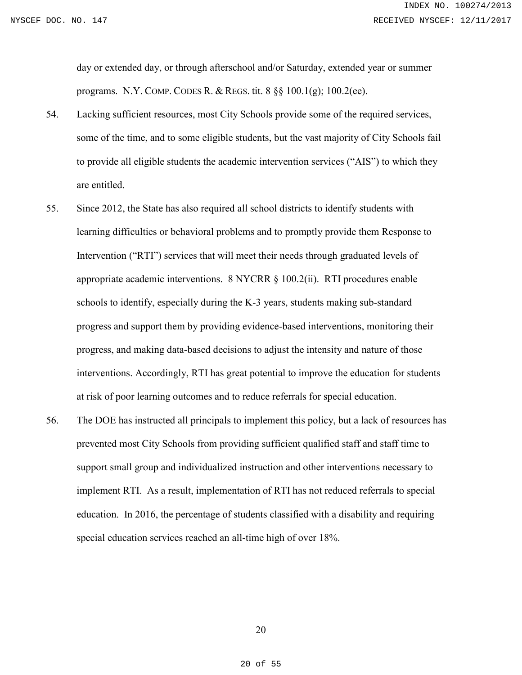day or extended day, or through afterschool and/or Saturday, extended year or summer programs. N.Y. COMP. CODES R. & REGS. tit. 8 §§ 100.1(g); 100.2(ee).

- 54. Lacking sufficient resources, most City Schools provide some of the required services, some of the time, and to some eligible students, but the vast majority of City Schools fail to provide all eligible students the academic intervention services ("AIS") to which they are entitled.
- 55. Since 2012, the State has also required all school districts to identify students with learning difficulties or behavioral problems and to promptly provide them Response to Intervention ("RTI") services that will meet their needs through graduated levels of appropriate academic interventions. 8 NYCRR § 100.2(ii). RTI procedures enable schools to identify, especially during the K-3 years, students making sub-standard progress and support them by providing evidence-based interventions, monitoring their progress, and making data-based decisions to adjust the intensity and nature of those interventions. Accordingly, RTI has great potential to improve the education for students at risk of poor learning outcomes and to reduce referrals for special education.
- 56. The DOE has instructed all principals to implement this policy, but a lack of resources has prevented most City Schools from providing sufficient qualified staff and staff time to support small group and individualized instruction and other interventions necessary to implement RTI. As a result, implementation of RTI has not reduced referrals to special education. In 2016, the percentage of students classified with a disability and requiring special education services reached an all-time high of over 18%.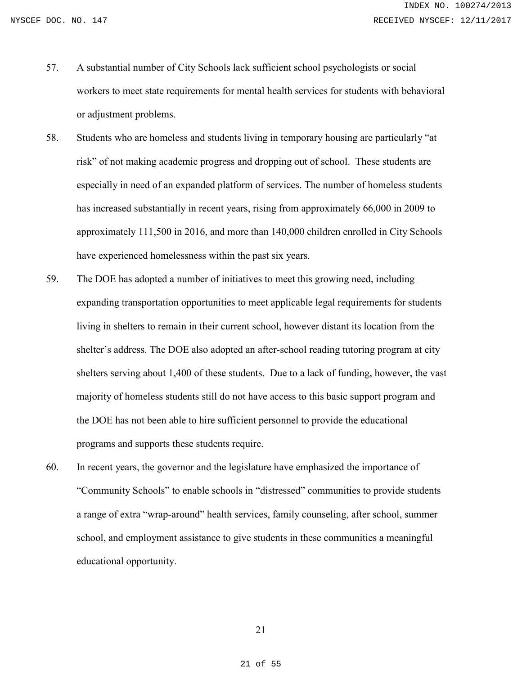- 57. A substantial number of City Schools lack sufficient school psychologists or social workers to meet state requirements for mental health services for students with behavioral or adjustment problems.
- 58. Students who are homeless and students living in temporary housing are particularly "at risk" of not making academic progress and dropping out of school. These students are especially in need of an expanded platform of services. The number of homeless students has increased substantially in recent years, rising from approximately 66,000 in 2009 to approximately 111,500 in 2016, and more than 140,000 children enrolled in City Schools have experienced homelessness within the past six years.
- 59. The DOE has adopted a number of initiatives to meet this growing need, including expanding transportation opportunities to meet applicable legal requirements for students living in shelters to remain in their current school, however distant its location from the shelter's address. The DOE also adopted an after-school reading tutoring program at city shelters serving about 1,400 of these students. Due to a lack of funding, however, the vast majority of homeless students still do not have access to this basic support program and the DOE has not been able to hire sufficient personnel to provide the educational programs and supports these students require.
- 60. In recent years, the governor and the legislature have emphasized the importance of "Community Schools" to enable schools in "distressed" communities to provide students a range of extra "wrap-around" health services, family counseling, after school, summer school, and employment assistance to give students in these communities a meaningful educational opportunity.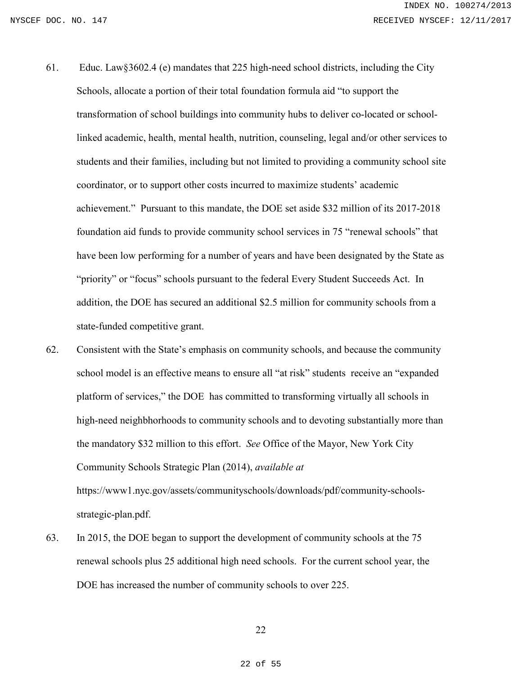- 61. Educ. Law§3602.4 (e) mandates that 225 high-need school districts, including the City Schools, allocate a portion of their total foundation formula aid "to support the transformation of school buildings into community hubs to deliver co-located or schoollinked academic, health, mental health, nutrition, counseling, legal and/or other services to students and their families, including but not limited to providing a community school site coordinator, or to support other costs incurred to maximize students' academic achievement." Pursuant to this mandate, the DOE set aside \$32 million of its 2017-2018 foundation aid funds to provide community school services in 75 "renewal schools" that have been low performing for a number of years and have been designated by the State as "priority" or "focus" schools pursuant to the federal Every Student Succeeds Act. In addition, the DOE has secured an additional \$2.5 million for community schools from a state-funded competitive grant.
- 62. Consistent with the State's emphasis on community schools, and because the community school model is an effective means to ensure all "at risk" students receive an "expanded platform of services," the DOE has committed to transforming virtually all schools in high-need neighbhorhoods to community schools and to devoting substantially more than the mandatory \$32 million to this effort. *See* Office of the Mayor, New York City Community Schools Strategic Plan (2014), *available at* https://www1.nyc.gov/assets/communityschools/downloads/pdf/community-schoolsstrategic-plan.pdf.
- 63. In 2015, the DOE began to support the development of community schools at the 75 renewal schools plus 25 additional high need schools. For the current school year, the DOE has increased the number of community schools to over 225.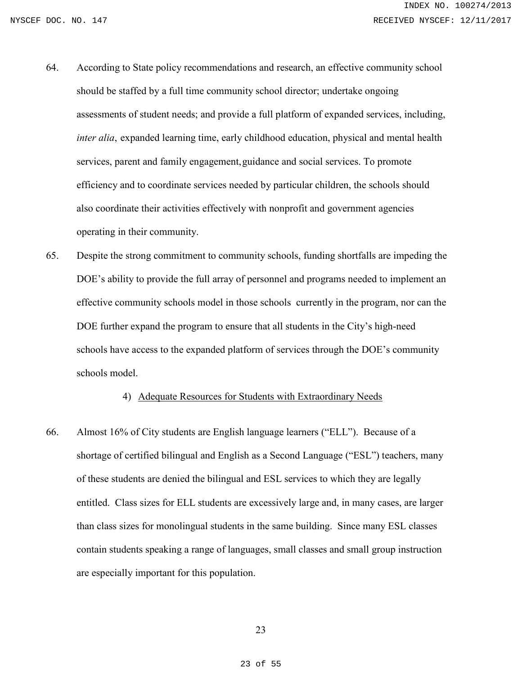- 64. According to State policy recommendations and research, an effective community school should be staffed by a full time community school director; undertake ongoing assessments of student needs; and provide a full platform of expanded services, including, *inter alia*, expanded learning time, early childhood education, physical and mental health services, parent and family engagement,guidance and social services. To promote efficiency and to coordinate services needed by particular children, the schools should also coordinate their activities effectively with nonprofit and government agencies operating in their community.
- 65. Despite the strong commitment to community schools, funding shortfalls are impeding the DOE's ability to provide the full array of personnel and programs needed to implement an effective community schools model in those schools currently in the program, nor can the DOE further expand the program to ensure that all students in the City's high-need schools have access to the expanded platform of services through the DOE's community schools model.

# 4) Adequate Resources for Students with Extraordinary Needs

66. Almost 16% of City students are English language learners ("ELL"). Because of a shortage of certified bilingual and English as a Second Language ("ESL") teachers, many of these students are denied the bilingual and ESL services to which they are legally entitled. Class sizes for ELL students are excessively large and, in many cases, are larger than class sizes for monolingual students in the same building. Since many ESL classes contain students speaking a range of languages, small classes and small group instruction are especially important for this population.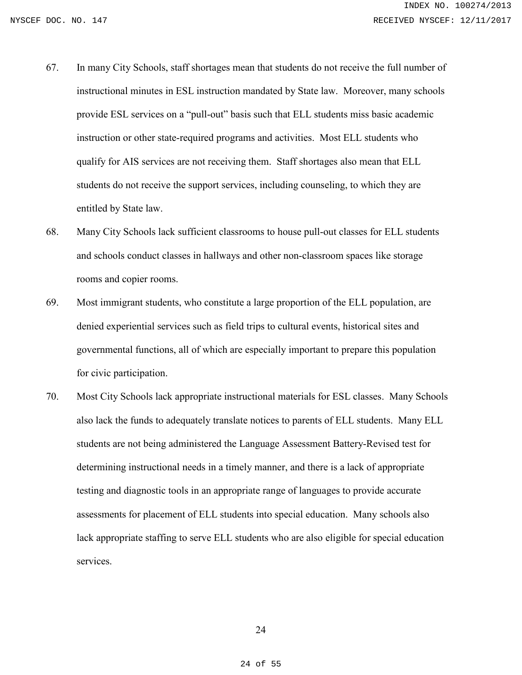- 67. In many City Schools, staff shortages mean that students do not receive the full number of instructional minutes in ESL instruction mandated by State law. Moreover, many schools provide ESL services on a "pull-out" basis such that ELL students miss basic academic instruction or other state-required programs and activities. Most ELL students who qualify for AIS services are not receiving them. Staff shortages also mean that ELL students do not receive the support services, including counseling, to which they are entitled by State law.
- 68. Many City Schools lack sufficient classrooms to house pull-out classes for ELL students and schools conduct classes in hallways and other non-classroom spaces like storage rooms and copier rooms.
- 69. Most immigrant students, who constitute a large proportion of the ELL population, are denied experiential services such as field trips to cultural events, historical sites and governmental functions, all of which are especially important to prepare this population for civic participation.
- 70. Most City Schools lack appropriate instructional materials for ESL classes. Many Schools also lack the funds to adequately translate notices to parents of ELL students. Many ELL students are not being administered the Language Assessment Battery-Revised test for determining instructional needs in a timely manner, and there is a lack of appropriate testing and diagnostic tools in an appropriate range of languages to provide accurate assessments for placement of ELL students into special education. Many schools also lack appropriate staffing to serve ELL students who are also eligible for special education services.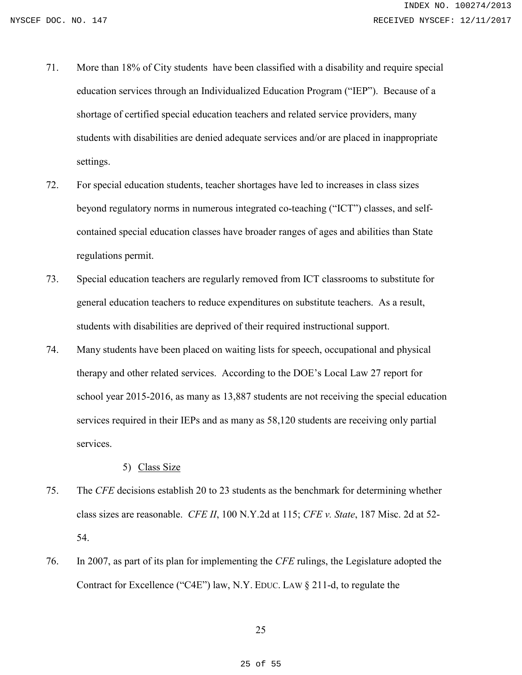- 71. More than 18% of City students have been classified with a disability and require special education services through an Individualized Education Program ("IEP"). Because of a shortage of certified special education teachers and related service providers, many students with disabilities are denied adequate services and/or are placed in inappropriate settings.
- 72. For special education students, teacher shortages have led to increases in class sizes beyond regulatory norms in numerous integrated co-teaching ("ICT") classes, and selfcontained special education classes have broader ranges of ages and abilities than State regulations permit.
- 73. Special education teachers are regularly removed from ICT classrooms to substitute for general education teachers to reduce expenditures on substitute teachers. As a result, students with disabilities are deprived of their required instructional support.
- 74. Many students have been placed on waiting lists for speech, occupational and physical therapy and other related services. According to the DOE's Local Law 27 report for school year 2015-2016, as many as 13,887 students are not receiving the special education services required in their IEPs and as many as 58,120 students are receiving only partial services.

# 5) Class Size

- 75. The *CFE* decisions establish 20 to 23 students as the benchmark for determining whether class sizes are reasonable. *CFE II*, 100 N.Y.2d at 115; *CFE v. State*, 187 Misc. 2d at 52- 54.
- 76. In 2007, as part of its plan for implementing the *CFE* rulings, the Legislature adopted the Contract for Excellence ("C4E") law, N.Y. EDUC. LAW § 211-d, to regulate the

25

25 of 55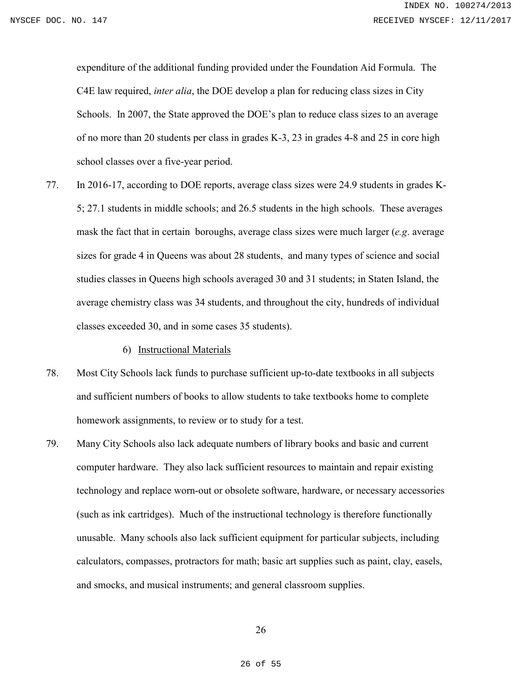expenditure of the additional funding provided under the Foundation Aid Formula. The C4E law required, *inter alia*, the DOE develop a plan for reducing class sizes in City Schools. In 2007, the State approved the DOE's plan to reduce class sizes to an average of no more than 20 students per class in grades K-3, 23 in grades 4-8 and 25 in core high school classes over a five-year period.

- 77. In 2016-17, according to DOE reports, average class sizes were 24.9 students in grades K-5; 27.1 students in middle schools; and 26.5 students in the high schools. These averages mask the fact that in certain boroughs, average class sizes were much larger (*e.g*. average sizes for grade 4 in Queens was about 28 students, and many types of science and social studies classes in Queens high schools averaged 30 and 31 students; in Staten Island, the average chemistry class was 34 students, and throughout the city, hundreds of individual classes exceeded 30, and in some cases 35 students).
	- 6) Instructional Materials
- 78. Most City Schools lack funds to purchase sufficient up-to-date textbooks in all subjects and sufficient numbers of books to allow students to take textbooks home to complete homework assignments, to review or to study for a test.
- 79. Many City Schools also lack adequate numbers of library books and basic and current computer hardware. They also lack sufficient resources to maintain and repair existing technology and replace worn-out or obsolete software, hardware, or necessary accessories (such as ink cartridges). Much of the instructional technology is therefore functionally unusable. Many schools also lack sufficient equipment for particular subjects, including calculators, compasses, protractors for math; basic art supplies such as paint, clay, easels, and smocks, and musical instruments; and general classroom supplies.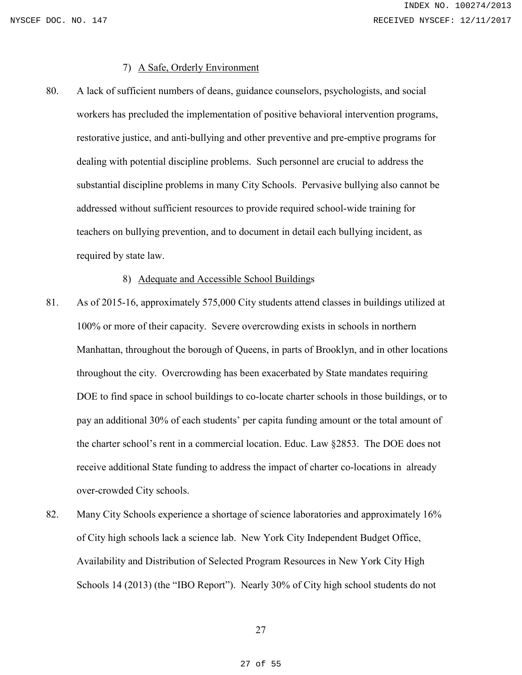# 7) A Safe, Orderly Environment

80. A lack of sufficient numbers of deans, guidance counselors, psychologists, and social workers has precluded the implementation of positive behavioral intervention programs, restorative justice, and anti-bullying and other preventive and pre-emptive programs for dealing with potential discipline problems. Such personnel are crucial to address the substantial discipline problems in many City Schools. Pervasive bullying also cannot be addressed without sufficient resources to provide required school-wide training for teachers on bullying prevention, and to document in detail each bullying incident, as required by state law.

### 8) Adequate and Accessible School Buildings

- 81. As of 2015-16, approximately 575,000 City students attend classes in buildings utilized at 100% or more of their capacity. Severe overcrowding exists in schools in northern Manhattan, throughout the borough of Queens, in parts of Brooklyn, and in other locations throughout the city. Overcrowding has been exacerbated by State mandates requiring DOE to find space in school buildings to co-locate charter schools in those buildings, or to pay an additional 30% of each students' per capita funding amount or the total amount of the charter school's rent in a commercial location. Educ. Law §2853. The DOE does not receive additional State funding to address the impact of charter co-locations in already over-crowded City schools.
- 82. Many City Schools experience a shortage of science laboratories and approximately 16% of City high schools lack a science lab. New York City Independent Budget Office, Availability and Distribution of Selected Program Resources in New York City High Schools 14 (2013) (the "IBO Report"). Nearly 30% of City high school students do not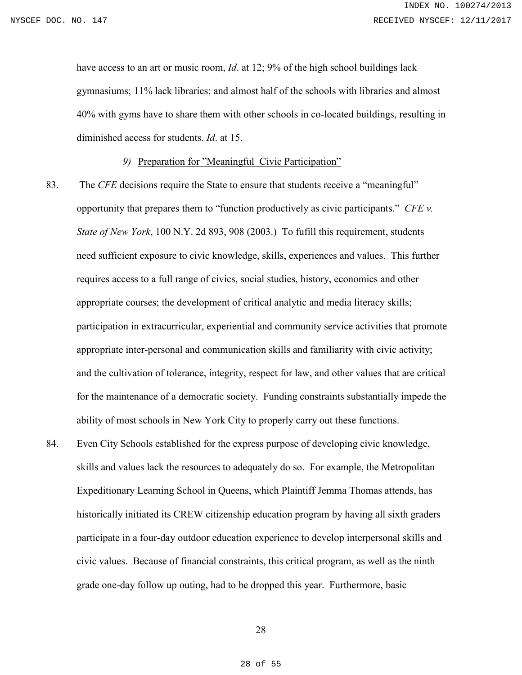have access to an art or music room, *Id*. at 12; 9% of the high school buildings lack gymnasiums; 11% lack libraries; and almost half of the schools with libraries and almost 40% with gyms have to share them with other schools in co-located buildings, resulting in diminished access for students. *Id*. at 15.

*9)* Preparation for "Meaningful Civic Participation"

- 83. The *CFE* decisions require the State to ensure that students receive a "meaningful" opportunity that prepares them to "function productively as civic participants." *CFE v. State of New York*, 100 N.Y. 2d 893, 908 (2003.) To fufill this requirement, students need sufficient exposure to civic knowledge, skills, experiences and values. This further requires access to a full range of civics, social studies, history, economics and other appropriate courses; the development of critical analytic and media literacy skills; participation in extracurricular, experiential and community service activities that promote appropriate inter-personal and communication skills and familiarity with civic activity; and the cultivation of tolerance, integrity, respect for law, and other values that are critical for the maintenance of a democratic society. Funding constraints substantially impede the ability of most schools in New York City to properly carry out these functions.
- 84. Even City Schools established for the express purpose of developing civic knowledge, skills and values lack the resources to adequately do so. For example, the Metropolitan Expeditionary Learning School in Queens, which Plaintiff Jemma Thomas attends, has historically initiated its CREW citizenship education program by having all sixth graders participate in a four-day outdoor education experience to develop interpersonal skills and civic values. Because of financial constraints, this critical program, as well as the ninth grade one-day follow up outing, had to be dropped this year. Furthermore, basic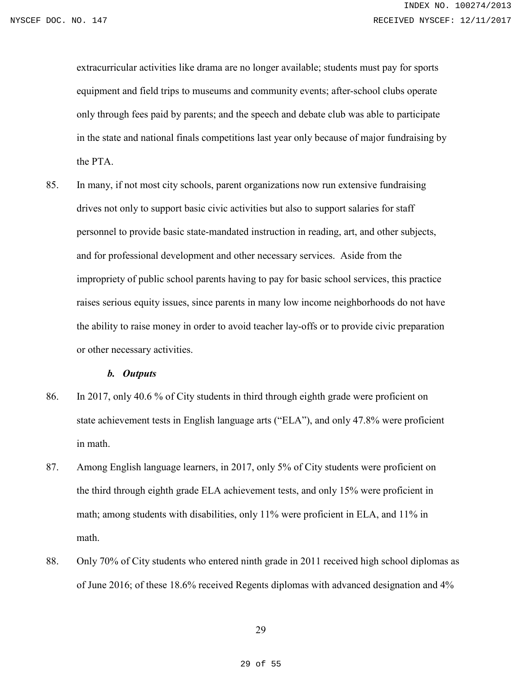extracurricular activities like drama are no longer available; students must pay for sports equipment and field trips to museums and community events; after-school clubs operate only through fees paid by parents; and the speech and debate club was able to participate in the state and national finals competitions last year only because of major fundraising by the PTA.

85. In many, if not most city schools, parent organizations now run extensive fundraising drives not only to support basic civic activities but also to support salaries for staff personnel to provide basic state-mandated instruction in reading, art, and other subjects, and for professional development and other necessary services. Aside from the impropriety of public school parents having to pay for basic school services, this practice raises serious equity issues, since parents in many low income neighborhoods do not have the ability to raise money in order to avoid teacher lay-offs or to provide civic preparation or other necessary activities.

#### *b. Outputs*

- 86. In 2017, only 40.6 % of City students in third through eighth grade were proficient on state achievement tests in English language arts ("ELA"), and only 47.8% were proficient in math.
- 87. Among English language learners, in 2017, only 5% of City students were proficient on the third through eighth grade ELA achievement tests, and only 15% were proficient in math; among students with disabilities, only 11% were proficient in ELA, and 11% in math.
- 88. Only 70% of City students who entered ninth grade in 2011 received high school diplomas as of June 2016; of these 18.6% received Regents diplomas with advanced designation and 4%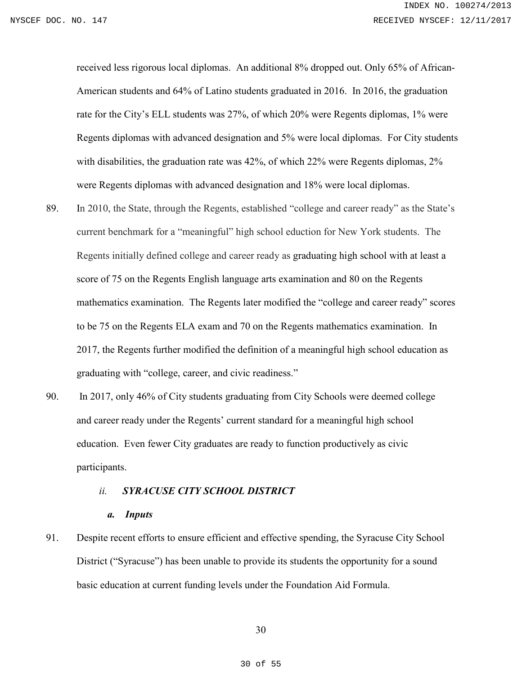received less rigorous local diplomas. An additional 8% dropped out. Only 65% of African-American students and 64% of Latino students graduated in 2016. In 2016, the graduation rate for the City's ELL students was 27%, of which 20% were Regents diplomas, 1% were Regents diplomas with advanced designation and 5% were local diplomas. For City students with disabilities, the graduation rate was 42%, of which 22% were Regents diplomas, 2% were Regents diplomas with advanced designation and 18% were local diplomas.

- 89. In 2010, the State, through the Regents, established "college and career ready" as the State's current benchmark for a "meaningful" high school eduction for New York students. The Regents initially defined college and career ready as graduating high school with at least a score of 75 on the Regents English language arts examination and 80 on the Regents mathematics examination. The Regents later modified the "college and career ready" scores to be 75 on the Regents ELA exam and 70 on the Regents mathematics examination. In 2017, the Regents further modified the definition of a meaningful high school education as graduating with "college, career, and civic readiness."
- 90. In 2017, only 46% of City students graduating from City Schools were deemed college and career ready under the Regents' current standard for a meaningful high school education. Even fewer City graduates are ready to function productively as civic participants.

#### *ii. SYRACUSE CITY SCHOOL DISTRICT*

### *a. Inputs*

91. Despite recent efforts to ensure efficient and effective spending, the Syracuse City School District ("Syracuse") has been unable to provide its students the opportunity for a sound basic education at current funding levels under the Foundation Aid Formula.

30

30 of 55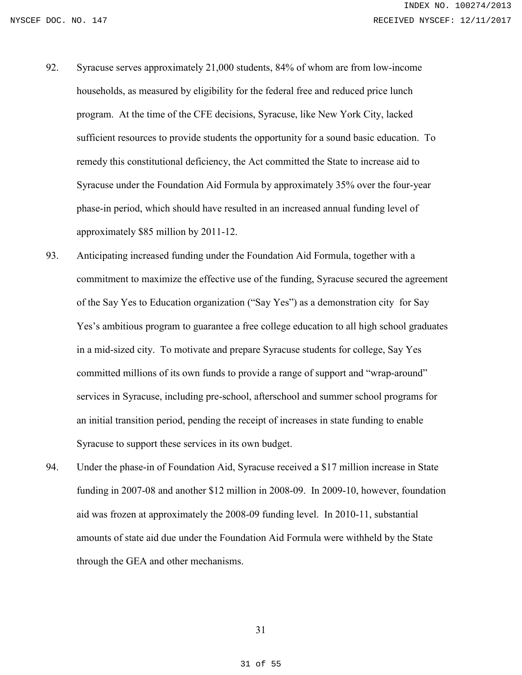- 92. Syracuse serves approximately 21,000 students, 84% of whom are from low-income households, as measured by eligibility for the federal free and reduced price lunch program. At the time of the CFE decisions, Syracuse, like New York City, lacked sufficient resources to provide students the opportunity for a sound basic education. To remedy this constitutional deficiency, the Act committed the State to increase aid to Syracuse under the Foundation Aid Formula by approximately 35% over the four-year phase-in period, which should have resulted in an increased annual funding level of approximately \$85 million by 2011-12.
- 93. Anticipating increased funding under the Foundation Aid Formula, together with a commitment to maximize the effective use of the funding, Syracuse secured the agreement of the Say Yes to Education organization ("Say Yes") as a demonstration city for Say Yes's ambitious program to guarantee a free college education to all high school graduates in a mid-sized city. To motivate and prepare Syracuse students for college, Say Yes committed millions of its own funds to provide a range of support and "wrap-around" services in Syracuse, including pre-school, afterschool and summer school programs for an initial transition period, pending the receipt of increases in state funding to enable Syracuse to support these services in its own budget.
- 94. Under the phase-in of Foundation Aid, Syracuse received a \$17 million increase in State funding in 2007-08 and another \$12 million in 2008-09. In 2009-10, however, foundation aid was frozen at approximately the 2008-09 funding level. In 2010-11, substantial amounts of state aid due under the Foundation Aid Formula were withheld by the State through the GEA and other mechanisms.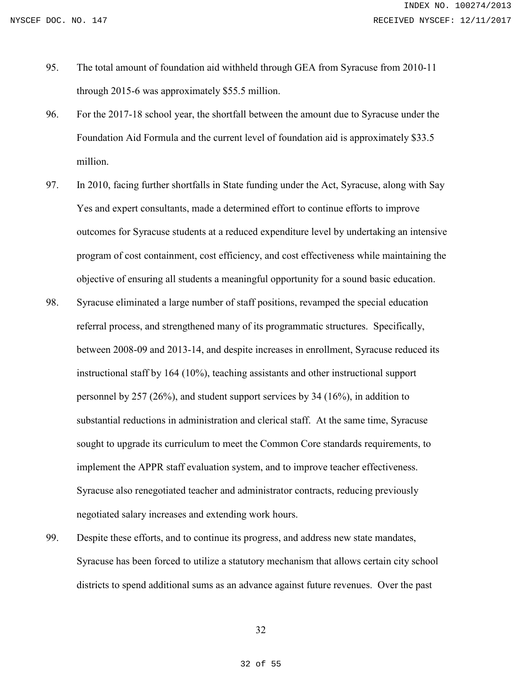- 95. The total amount of foundation aid withheld through GEA from Syracuse from 2010-11 through 2015-6 was approximately \$55.5 million.
- 96. For the 2017-18 school year, the shortfall between the amount due to Syracuse under the Foundation Aid Formula and the current level of foundation aid is approximately \$33.5 million.
- 97. In 2010, facing further shortfalls in State funding under the Act, Syracuse, along with Say Yes and expert consultants, made a determined effort to continue efforts to improve outcomes for Syracuse students at a reduced expenditure level by undertaking an intensive program of cost containment, cost efficiency, and cost effectiveness while maintaining the objective of ensuring all students a meaningful opportunity for a sound basic education.
- 98. Syracuse eliminated a large number of staff positions, revamped the special education referral process, and strengthened many of its programmatic structures. Specifically, between 2008-09 and 2013-14, and despite increases in enrollment, Syracuse reduced its instructional staff by 164 (10%), teaching assistants and other instructional support personnel by 257 (26%), and student support services by 34 (16%), in addition to substantial reductions in administration and clerical staff. At the same time, Syracuse sought to upgrade its curriculum to meet the Common Core standards requirements, to implement the APPR staff evaluation system, and to improve teacher effectiveness. Syracuse also renegotiated teacher and administrator contracts, reducing previously negotiated salary increases and extending work hours.
- 99. Despite these efforts, and to continue its progress, and address new state mandates, Syracuse has been forced to utilize a statutory mechanism that allows certain city school districts to spend additional sums as an advance against future revenues. Over the past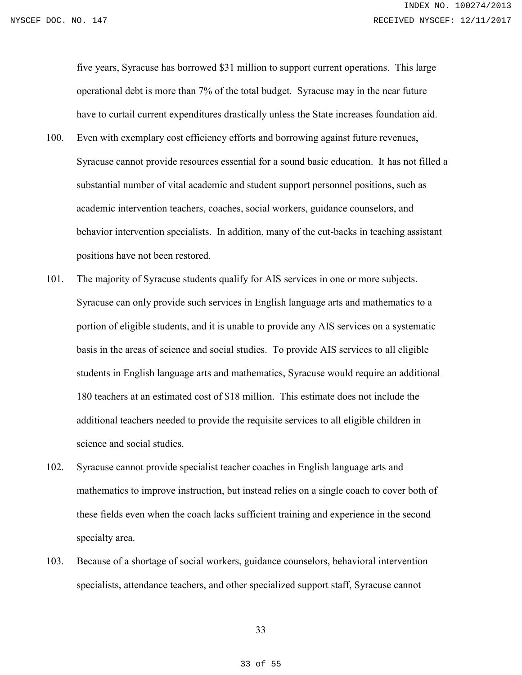five years, Syracuse has borrowed \$31 million to support current operations. This large operational debt is more than 7% of the total budget. Syracuse may in the near future have to curtail current expenditures drastically unless the State increases foundation aid.

- 100. Even with exemplary cost efficiency efforts and borrowing against future revenues, Syracuse cannot provide resources essential for a sound basic education. It has not filled a substantial number of vital academic and student support personnel positions, such as academic intervention teachers, coaches, social workers, guidance counselors, and behavior intervention specialists. In addition, many of the cut-backs in teaching assistant positions have not been restored.
- 101. The majority of Syracuse students qualify for AIS services in one or more subjects. Syracuse can only provide such services in English language arts and mathematics to a portion of eligible students, and it is unable to provide any AIS services on a systematic basis in the areas of science and social studies. To provide AIS services to all eligible students in English language arts and mathematics, Syracuse would require an additional 180 teachers at an estimated cost of \$18 million. This estimate does not include the additional teachers needed to provide the requisite services to all eligible children in science and social studies.
- 102. Syracuse cannot provide specialist teacher coaches in English language arts and mathematics to improve instruction, but instead relies on a single coach to cover both of these fields even when the coach lacks sufficient training and experience in the second specialty area.
- 103. Because of a shortage of social workers, guidance counselors, behavioral intervention specialists, attendance teachers, and other specialized support staff, Syracuse cannot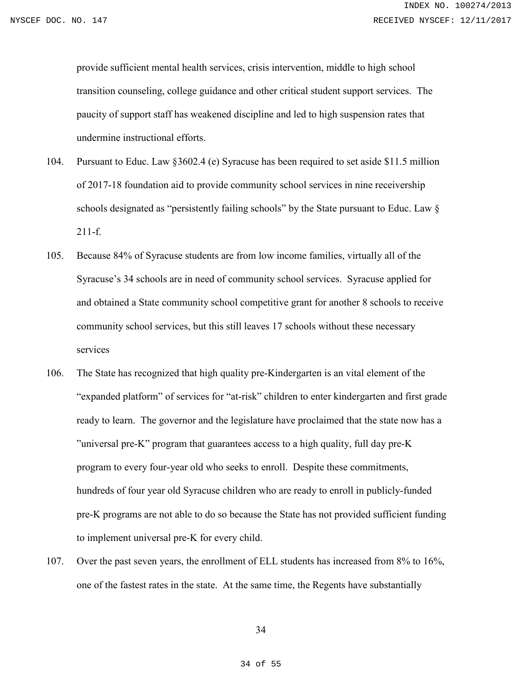provide sufficient mental health services, crisis intervention, middle to high school transition counseling, college guidance and other critical student support services. The paucity of support staff has weakened discipline and led to high suspension rates that undermine instructional efforts.

- 104. Pursuant to Educ. Law §3602.4 (e) Syracuse has been required to set aside \$11.5 million of 2017-18 foundation aid to provide community school services in nine receivership schools designated as "persistently failing schools" by the State pursuant to Educ. Law § 211-f.
- 105. Because 84% of Syracuse students are from low income families, virtually all of the Syracuse's 34 schools are in need of community school services. Syracuse applied for and obtained a State community school competitive grant for another 8 schools to receive community school services, but this still leaves 17 schools without these necessary services
- 106. The State has recognized that high quality pre-Kindergarten is an vital element of the "expanded platform" of services for "at-risk" children to enter kindergarten and first grade ready to learn. The governor and the legislature have proclaimed that the state now has a "universal pre-K" program that guarantees access to a high quality, full day pre-K program to every four-year old who seeks to enroll. Despite these commitments, hundreds of four year old Syracuse children who are ready to enroll in publicly-funded pre-K programs are not able to do so because the State has not provided sufficient funding to implement universal pre-K for every child.
- 107. Over the past seven years, the enrollment of ELL students has increased from 8% to 16%, one of the fastest rates in the state. At the same time, the Regents have substantially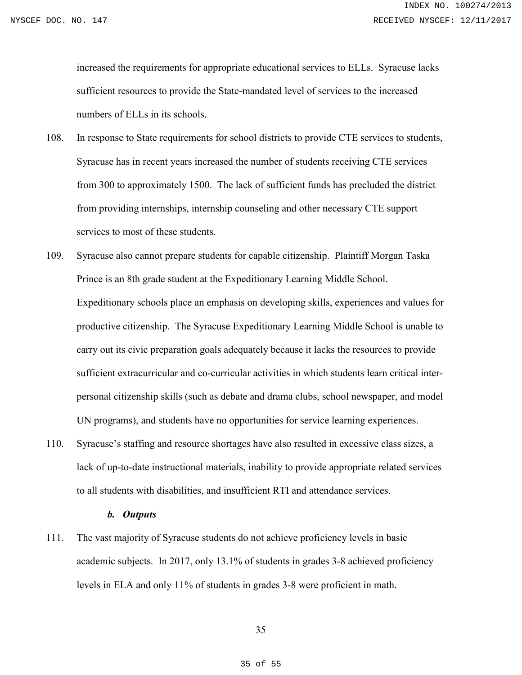increased the requirements for appropriate educational services to ELLs. Syracuse lacks sufficient resources to provide the State-mandated level of services to the increased numbers of ELLs in its schools.

- 108. In response to State requirements for school districts to provide CTE services to students, Syracuse has in recent years increased the number of students receiving CTE services from 300 to approximately 1500. The lack of sufficient funds has precluded the district from providing internships, internship counseling and other necessary CTE support services to most of these students.
- 109. Syracuse also cannot prepare students for capable citizenship. Plaintiff Morgan Taska Prince is an 8th grade student at the Expeditionary Learning Middle School. Expeditionary schools place an emphasis on developing skills, experiences and values for productive citizenship. The Syracuse Expeditionary Learning Middle School is unable to carry out its civic preparation goals adequately because it lacks the resources to provide sufficient extracurricular and co-curricular activities in which students learn critical interpersonal citizenship skills (such as debate and drama clubs, school newspaper, and model UN programs), and students have no opportunities for service learning experiences.
- 110. Syracuse's staffing and resource shortages have also resulted in excessive class sizes, a lack of up-to-date instructional materials, inability to provide appropriate related services to all students with disabilities, and insufficient RTI and attendance services.

### *b. Outputs*

111. The vast majority of Syracuse students do not achieve proficiency levels in basic academic subjects. In 2017, only 13.1% of students in grades 3-8 achieved proficiency levels in ELA and only 11% of students in grades 3-8 were proficient in math.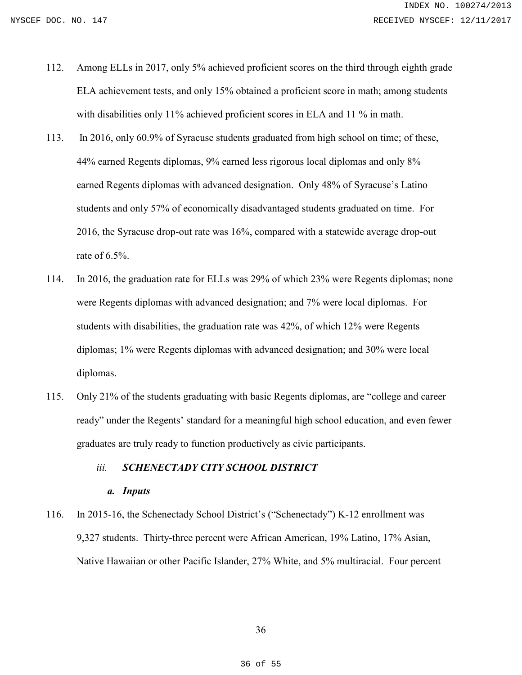- 112. Among ELLs in 2017, only 5% achieved proficient scores on the third through eighth grade ELA achievement tests, and only 15% obtained a proficient score in math; among students with disabilities only 11% achieved proficient scores in ELA and 11 % in math.
- 113. In 2016, only 60.9% of Syracuse students graduated from high school on time; of these, 44% earned Regents diplomas, 9% earned less rigorous local diplomas and only 8% earned Regents diplomas with advanced designation. Only 48% of Syracuse's Latino students and only 57% of economically disadvantaged students graduated on time. For 2016, the Syracuse drop-out rate was 16%, compared with a statewide average drop-out rate of 6.5%.
- 114. In 2016, the graduation rate for ELLs was 29% of which 23% were Regents diplomas; none were Regents diplomas with advanced designation; and 7% were local diplomas. For students with disabilities, the graduation rate was 42%, of which 12% were Regents diplomas; 1% were Regents diplomas with advanced designation; and 30% were local diplomas.
- 115. Only 21% of the students graduating with basic Regents diplomas, are "college and career ready" under the Regents' standard for a meaningful high school education, and even fewer graduates are truly ready to function productively as civic participants.

# *iii. SCHENECTADY CITY SCHOOL DISTRICT*

## *a. Inputs*

116. In 2015-16, the Schenectady School District's ("Schenectady") K-12 enrollment was 9,327 students. Thirty-three percent were African American, 19% Latino, 17% Asian, Native Hawaiian or other Pacific Islander, 27% White, and 5% multiracial. Four percent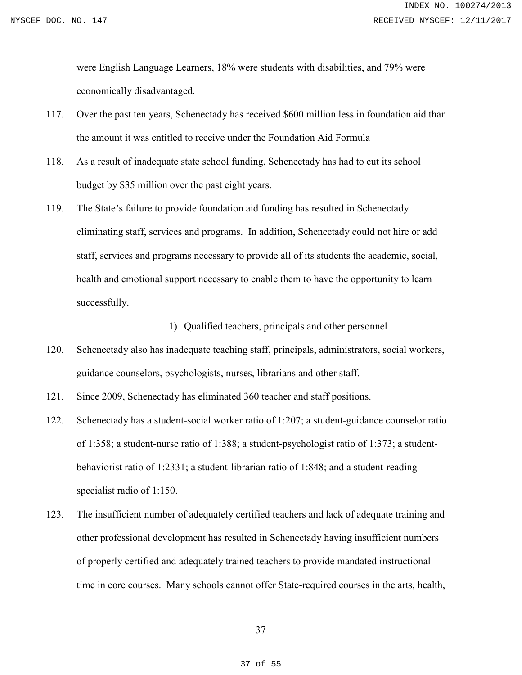were English Language Learners, 18% were students with disabilities, and 79% were economically disadvantaged.

- 117. Over the past ten years, Schenectady has received \$600 million less in foundation aid than the amount it was entitled to receive under the Foundation Aid Formula
- 118. As a result of inadequate state school funding, Schenectady has had to cut its school budget by \$35 million over the past eight years.
- 119. The State's failure to provide foundation aid funding has resulted in Schenectady eliminating staff, services and programs. In addition, Schenectady could not hire or add staff, services and programs necessary to provide all of its students the academic, social, health and emotional support necessary to enable them to have the opportunity to learn successfully.

# 1) Qualified teachers, principals and other personnel

- 120. Schenectady also has inadequate teaching staff, principals, administrators, social workers, guidance counselors, psychologists, nurses, librarians and other staff.
- 121. Since 2009, Schenectady has eliminated 360 teacher and staff positions.
- 122. Schenectady has a student-social worker ratio of 1:207; a student-guidance counselor ratio of 1:358; a student-nurse ratio of 1:388; a student-psychologist ratio of 1:373; a studentbehaviorist ratio of 1:2331; a student-librarian ratio of 1:848; and a student-reading specialist radio of 1:150.
- 123. The insufficient number of adequately certified teachers and lack of adequate training and other professional development has resulted in Schenectady having insufficient numbers of properly certified and adequately trained teachers to provide mandated instructional time in core courses. Many schools cannot offer State-required courses in the arts, health,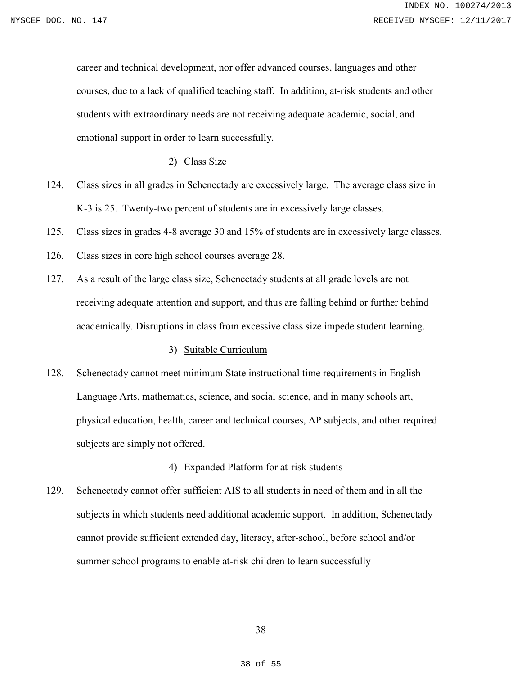career and technical development, nor offer advanced courses, languages and other courses, due to a lack of qualified teaching staff. In addition, at-risk students and other students with extraordinary needs are not receiving adequate academic, social, and emotional support in order to learn successfully.

## 2) Class Size

- 124. Class sizes in all grades in Schenectady are excessively large. The average class size in K-3 is 25. Twenty-two percent of students are in excessively large classes.
- 125. Class sizes in grades 4-8 average 30 and 15% of students are in excessively large classes.
- 126. Class sizes in core high school courses average 28.
- 127. As a result of the large class size, Schenectady students at all grade levels are not receiving adequate attention and support, and thus are falling behind or further behind academically. Disruptions in class from excessive class size impede student learning.

# 3) Suitable Curriculum

128. Schenectady cannot meet minimum State instructional time requirements in English Language Arts, mathematics, science, and social science, and in many schools art, physical education, health, career and technical courses, AP subjects, and other required subjects are simply not offered.

### 4) Expanded Platform for at-risk students

129. Schenectady cannot offer sufficient AIS to all students in need of them and in all the subjects in which students need additional academic support. In addition, Schenectady cannot provide sufficient extended day, literacy, after-school, before school and/or summer school programs to enable at-risk children to learn successfully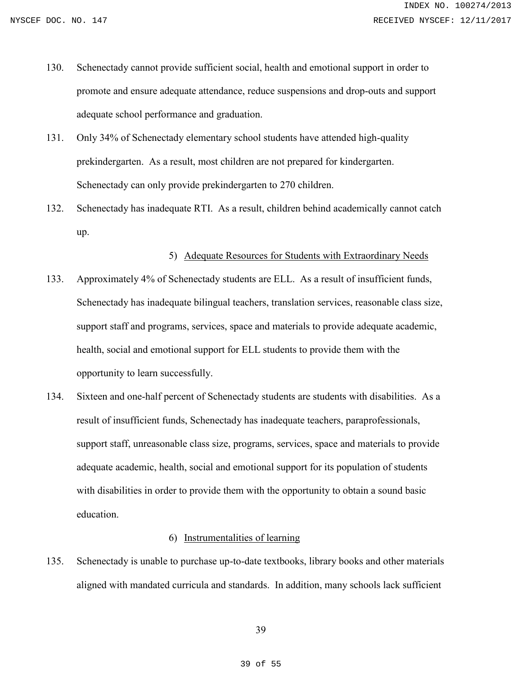- 130. Schenectady cannot provide sufficient social, health and emotional support in order to promote and ensure adequate attendance, reduce suspensions and drop-outs and support adequate school performance and graduation.
- 131. Only 34% of Schenectady elementary school students have attended high-quality prekindergarten. As a result, most children are not prepared for kindergarten. Schenectady can only provide prekindergarten to 270 children.
- 132. Schenectady has inadequate RTI. As a result, children behind academically cannot catch up.

# 5) Adequate Resources for Students with Extraordinary Needs

- 133. Approximately 4% of Schenectady students are ELL. As a result of insufficient funds, Schenectady has inadequate bilingual teachers, translation services, reasonable class size, support staff and programs, services, space and materials to provide adequate academic, health, social and emotional support for ELL students to provide them with the opportunity to learn successfully.
- 134. Sixteen and one-half percent of Schenectady students are students with disabilities. As a result of insufficient funds, Schenectady has inadequate teachers, paraprofessionals, support staff, unreasonable class size, programs, services, space and materials to provide adequate academic, health, social and emotional support for its population of students with disabilities in order to provide them with the opportunity to obtain a sound basic education.

# 6) Instrumentalities of learning

135. Schenectady is unable to purchase up-to-date textbooks, library books and other materials aligned with mandated curricula and standards. In addition, many schools lack sufficient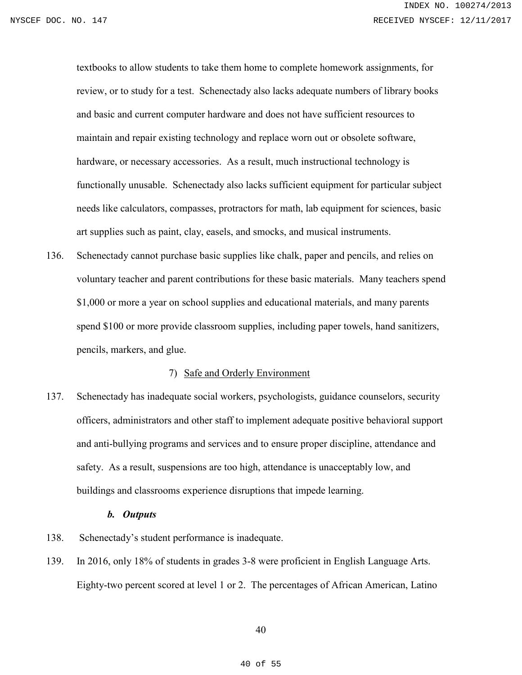textbooks to allow students to take them home to complete homework assignments, for review, or to study for a test. Schenectady also lacks adequate numbers of library books and basic and current computer hardware and does not have sufficient resources to maintain and repair existing technology and replace worn out or obsolete software, hardware, or necessary accessories. As a result, much instructional technology is functionally unusable. Schenectady also lacks sufficient equipment for particular subject needs like calculators, compasses, protractors for math, lab equipment for sciences, basic art supplies such as paint, clay, easels, and smocks, and musical instruments.

136. Schenectady cannot purchase basic supplies like chalk, paper and pencils, and relies on voluntary teacher and parent contributions for these basic materials. Many teachers spend \$1,000 or more a year on school supplies and educational materials, and many parents spend \$100 or more provide classroom supplies, including paper towels, hand sanitizers, pencils, markers, and glue.

### 7) Safe and Orderly Environment

137. Schenectady has inadequate social workers, psychologists, guidance counselors, security officers, administrators and other staff to implement adequate positive behavioral support and anti-bullying programs and services and to ensure proper discipline, attendance and safety. As a result, suspensions are too high, attendance is unacceptably low, and buildings and classrooms experience disruptions that impede learning.

### *b. Outputs*

- 138. Schenectady's student performance is inadequate.
- 139. In 2016, only 18% of students in grades 3-8 were proficient in English Language Arts. Eighty-two percent scored at level 1 or 2. The percentages of African American, Latino

40

40 of 55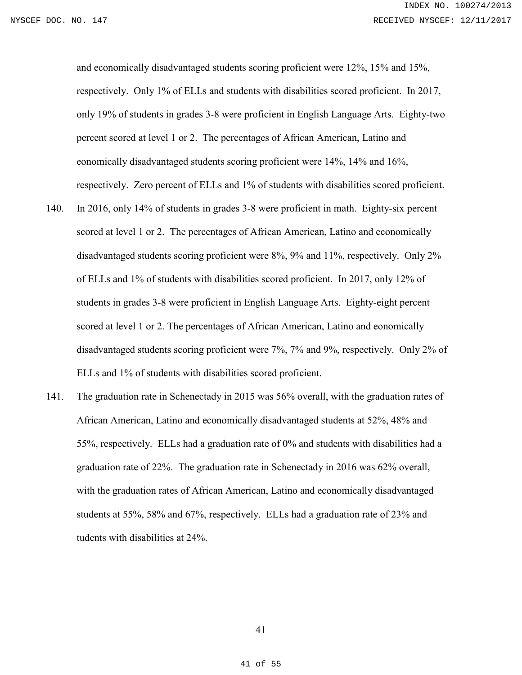and economically disadvantaged students scoring proficient were 12%, 15% and 15%, respectively. Only 1% of ELLs and students with disabilities scored proficient. In 2017, only 19% of students in grades 3-8 were proficient in English Language Arts. Eighty-two percent scored at level 1 or 2. The percentages of African American, Latino and eonomically disadvantaged students scoring proficient were 14%, 14% and 16%, respectively. Zero percent of ELLs and 1% of students with disabilities scored proficient.

- 140. In 2016, only 14% of students in grades 3-8 were proficient in math. Eighty-six percent scored at level 1 or 2. The percentages of African American, Latino and economically disadvantaged students scoring proficient were 8%, 9% and 11%, respectively. Only 2% of ELLs and 1% of students with disabilities scored proficient. In 2017, only 12% of students in grades 3-8 were proficient in English Language Arts. Eighty-eight percent scored at level 1 or 2. The percentages of African American, Latino and eonomically disadvantaged students scoring proficient were 7%, 7% and 9%, respectively. Only 2% of ELLs and 1% of students with disabilities scored proficient.
- 141. The graduation rate in Schenectady in 2015 was 56% overall, with the graduation rates of African American, Latino and economically disadvantaged students at 52%, 48% and 55%, respectively. ELLs had a graduation rate of 0% and students with disabilities had a graduation rate of 22%. The graduation rate in Schenectady in 2016 was 62% overall, with the graduation rates of African American, Latino and economically disadvantaged students at 55%, 58% and 67%, respectively. ELLs had a graduation rate of 23% and tudents with disabilities at 24%.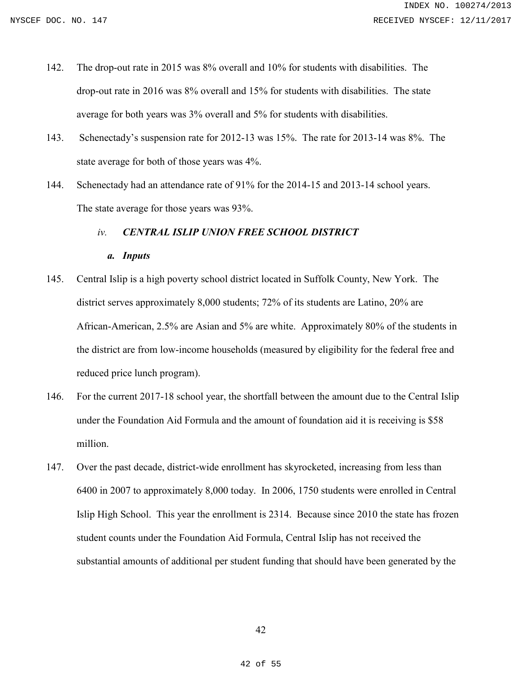- 142. The drop-out rate in 2015 was 8% overall and 10% for students with disabilities. The drop-out rate in 2016 was 8% overall and 15% for students with disabilities. The state average for both years was 3% overall and 5% for students with disabilities.
- 143. Schenectady's suspension rate for 2012-13 was 15%. The rate for 2013-14 was 8%. The state average for both of those years was 4%.
- 144. Schenectady had an attendance rate of 91% for the 2014-15 and 2013-14 school years. The state average for those years was 93%.

### *iv. CENTRAL ISLIP UNION FREE SCHOOL DISTRICT*

- *a. Inputs*
- 145. Central Islip is a high poverty school district located in Suffolk County, New York. The district serves approximately 8,000 students; 72% of its students are Latino, 20% are African-American, 2.5% are Asian and 5% are white. Approximately 80% of the students in the district are from low-income households (measured by eligibility for the federal free and reduced price lunch program).
- 146. For the current 2017-18 school year, the shortfall between the amount due to the Central Islip under the Foundation Aid Formula and the amount of foundation aid it is receiving is \$58 million.
- 147. Over the past decade, district-wide enrollment has skyrocketed, increasing from less than 6400 in 2007 to approximately 8,000 today. In 2006, 1750 students were enrolled in Central Islip High School. This year the enrollment is 2314. Because since 2010 the state has frozen student counts under the Foundation Aid Formula, Central Islip has not received the substantial amounts of additional per student funding that should have been generated by the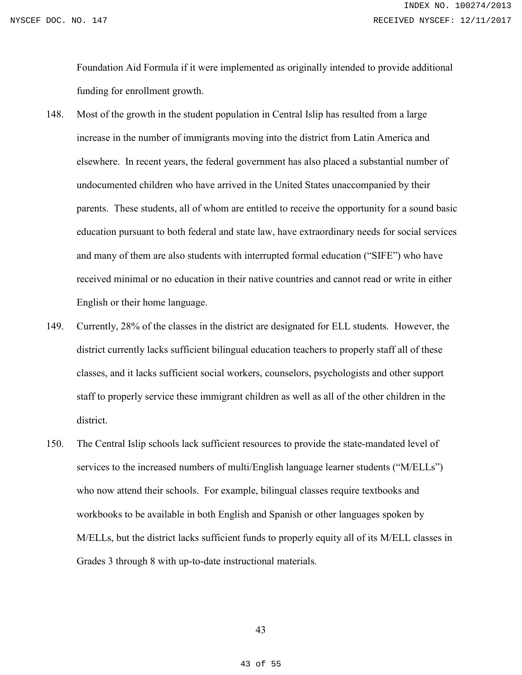Foundation Aid Formula if it were implemented as originally intended to provide additional funding for enrollment growth.

- 148. Most of the growth in the student population in Central Islip has resulted from a large increase in the number of immigrants moving into the district from Latin America and elsewhere. In recent years, the federal government has also placed a substantial number of undocumented children who have arrived in the United States unaccompanied by their parents. These students, all of whom are entitled to receive the opportunity for a sound basic education pursuant to both federal and state law, have extraordinary needs for social services and many of them are also students with interrupted formal education ("SIFE") who have received minimal or no education in their native countries and cannot read or write in either English or their home language.
- 149. Currently, 28% of the classes in the district are designated for ELL students. However, the district currently lacks sufficient bilingual education teachers to properly staff all of these classes, and it lacks sufficient social workers, counselors, psychologists and other support staff to properly service these immigrant children as well as all of the other children in the district.
- 150. The Central Islip schools lack sufficient resources to provide the state-mandated level of services to the increased numbers of multi/English language learner students ("M/ELLs") who now attend their schools. For example, bilingual classes require textbooks and workbooks to be available in both English and Spanish or other languages spoken by M/ELLs, but the district lacks sufficient funds to properly equity all of its M/ELL classes in Grades 3 through 8 with up-to-date instructional materials.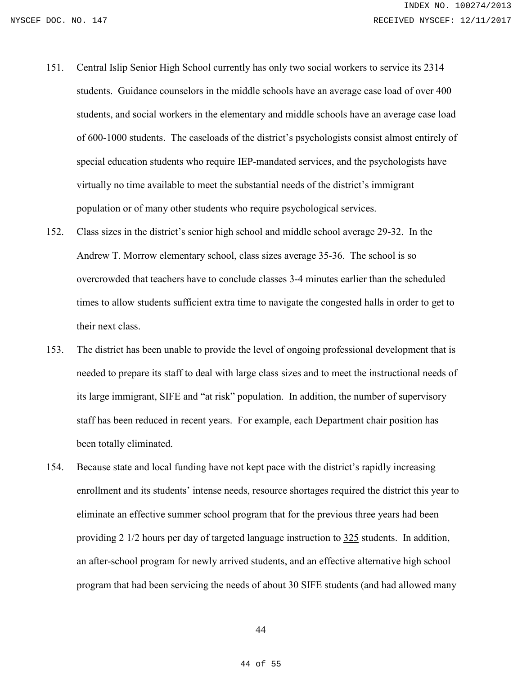- 151. Central Islip Senior High School currently has only two social workers to service its 2314 students. Guidance counselors in the middle schools have an average case load of over 400 students, and social workers in the elementary and middle schools have an average case load of 600-1000 students. The caseloads of the district's psychologists consist almost entirely of special education students who require IEP-mandated services, and the psychologists have virtually no time available to meet the substantial needs of the district's immigrant population or of many other students who require psychological services.
- 152. Class sizes in the district's senior high school and middle school average 29-32. In the Andrew T. Morrow elementary school, class sizes average 35-36. The school is so overcrowded that teachers have to conclude classes 3-4 minutes earlier than the scheduled times to allow students sufficient extra time to navigate the congested halls in order to get to their next class.
- 153. The district has been unable to provide the level of ongoing professional development that is needed to prepare its staff to deal with large class sizes and to meet the instructional needs of its large immigrant, SIFE and "at risk" population. In addition, the number of supervisory staff has been reduced in recent years. For example, each Department chair position has been totally eliminated.
- 154. Because state and local funding have not kept pace with the district's rapidly increasing enrollment and its students' intense needs, resource shortages required the district this year to eliminate an effective summer school program that for the previous three years had been providing 2 1/2 hours per day of targeted language instruction to 325 students. In addition, an after-school program for newly arrived students, and an effective alternative high school program that had been servicing the needs of about 30 SIFE students (and had allowed many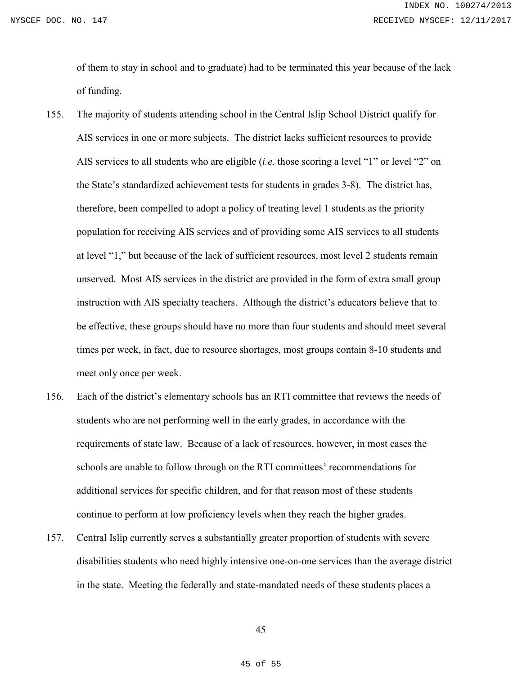of them to stay in school and to graduate) had to be terminated this year because of the lack of funding.

- 155. The majority of students attending school in the Central Islip School District qualify for AIS services in one or more subjects. The district lacks sufficient resources to provide AIS services to all students who are eligible (*i.e*. those scoring a level "1" or level "2" on the State's standardized achievement tests for students in grades 3-8). The district has, therefore, been compelled to adopt a policy of treating level 1 students as the priority population for receiving AIS services and of providing some AIS services to all students at level "1," but because of the lack of sufficient resources, most level 2 students remain unserved. Most AIS services in the district are provided in the form of extra small group instruction with AIS specialty teachers. Although the district's educators believe that to be effective, these groups should have no more than four students and should meet several times per week, in fact, due to resource shortages, most groups contain 8-10 students and meet only once per week.
- 156. Each of the district's elementary schools has an RTI committee that reviews the needs of students who are not performing well in the early grades, in accordance with the requirements of state law. Because of a lack of resources, however, in most cases the schools are unable to follow through on the RTI committees' recommendations for additional services for specific children, and for that reason most of these students continue to perform at low proficiency levels when they reach the higher grades.
- 157. Central Islip currently serves a substantially greater proportion of students with severe disabilities students who need highly intensive one-on-one services than the average district in the state. Meeting the federally and state-mandated needs of these students places a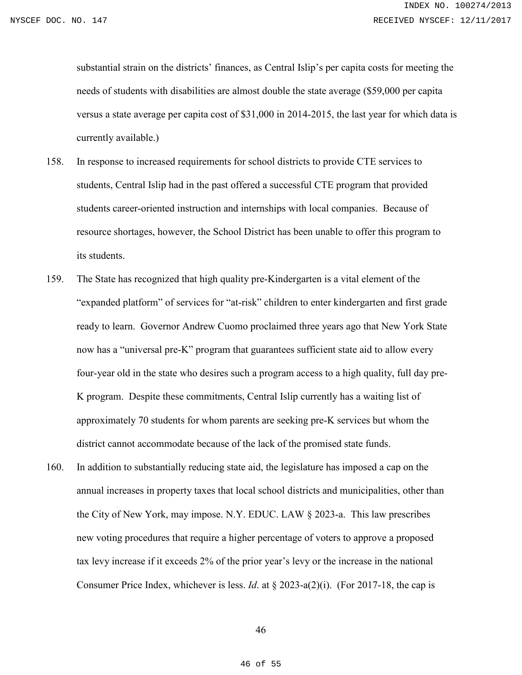substantial strain on the districts' finances, as Central Islip's per capita costs for meeting the needs of students with disabilities are almost double the state average (\$59,000 per capita versus a state average per capita cost of \$31,000 in 2014-2015, the last year for which data is currently available.)

- 158. In response to increased requirements for school districts to provide CTE services to students, Central Islip had in the past offered a successful CTE program that provided students career-oriented instruction and internships with local companies. Because of resource shortages, however, the School District has been unable to offer this program to its students.
- 159. The State has recognized that high quality pre-Kindergarten is a vital element of the "expanded platform" of services for "at-risk" children to enter kindergarten and first grade ready to learn. Governor Andrew Cuomo proclaimed three years ago that New York State now has a "universal pre-K" program that guarantees sufficient state aid to allow every four-year old in the state who desires such a program access to a high quality, full day pre-K program. Despite these commitments, Central Islip currently has a waiting list of approximately 70 students for whom parents are seeking pre-K services but whom the district cannot accommodate because of the lack of the promised state funds.
- 160. In addition to substantially reducing state aid, the legislature has imposed a cap on the annual increases in property taxes that local school districts and municipalities, other than the City of New York, may impose. N.Y. EDUC. LAW § 2023-a. This law prescribes new voting procedures that require a higher percentage of voters to approve a proposed tax levy increase if it exceeds 2% of the prior year's levy or the increase in the national Consumer Price Index, whichever is less. *Id*. at § 2023-a(2)(i). (For 2017-18, the cap is

46

46 of 55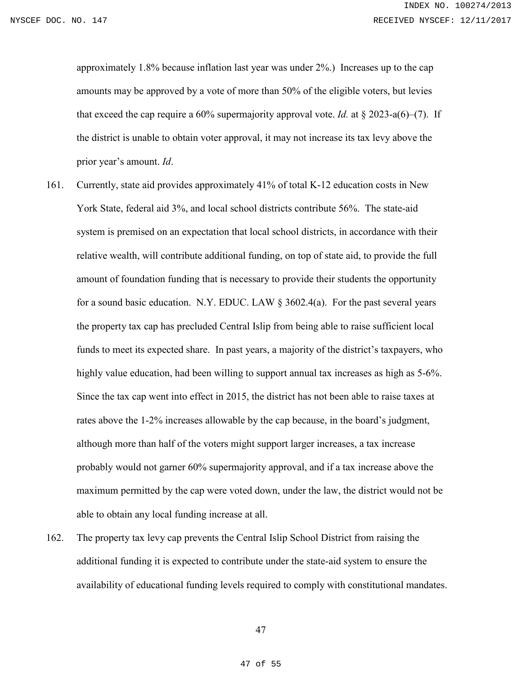approximately 1.8% because inflation last year was under 2%.) Increases up to the cap amounts may be approved by a vote of more than 50% of the eligible voters, but levies that exceed the cap require a 60% supermajority approval vote. *Id.* at  $\S 2023$ -a(6)–(7). If the district is unable to obtain voter approval, it may not increase its tax levy above the prior year's amount. *Id*.

- 161. Currently, state aid provides approximately 41% of total K-12 education costs in New York State, federal aid 3%, and local school districts contribute 56%. The state-aid system is premised on an expectation that local school districts, in accordance with their relative wealth, will contribute additional funding, on top of state aid, to provide the full amount of foundation funding that is necessary to provide their students the opportunity for a sound basic education. N.Y. EDUC. LAW  $\S 3602.4(a)$ . For the past several years the property tax cap has precluded Central Islip from being able to raise sufficient local funds to meet its expected share. In past years, a majority of the district's taxpayers, who highly value education, had been willing to support annual tax increases as high as 5-6%. Since the tax cap went into effect in 2015, the district has not been able to raise taxes at rates above the 1-2% increases allowable by the cap because, in the board's judgment, although more than half of the voters might support larger increases, a tax increase probably would not garner 60% supermajority approval, and if a tax increase above the maximum permitted by the cap were voted down, under the law, the district would not be able to obtain any local funding increase at all.
- 162. The property tax levy cap prevents the Central Islip School District from raising the additional funding it is expected to contribute under the state-aid system to ensure the availability of educational funding levels required to comply with constitutional mandates.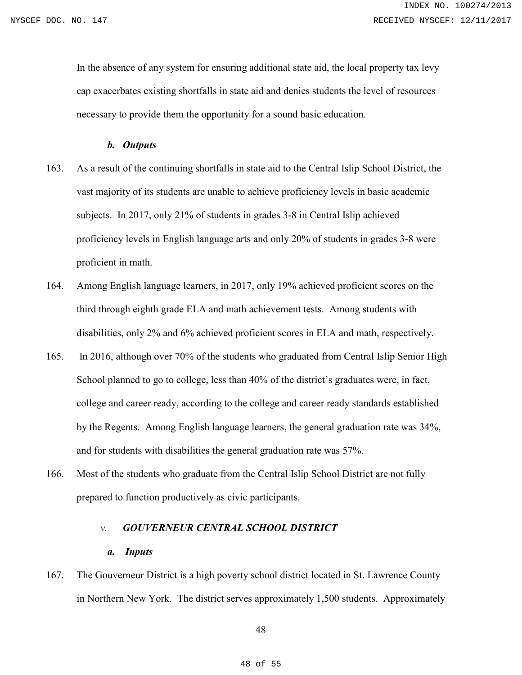In the absence of any system for ensuring additional state aid, the local property tax levy cap exacerbates existing shortfalls in state aid and denies students the level of resources necessary to provide them the opportunity for a sound basic education.

## *b. Outputs*

- 163. As a result of the continuing shortfalls in state aid to the Central Islip School District, the vast majority of its students are unable to achieve proficiency levels in basic academic subjects. In 2017, only 21% of students in grades 3-8 in Central Islip achieved proficiency levels in English language arts and only 20% of students in grades 3-8 were proficient in math.
- 164. Among English language learners, in 2017, only 19% achieved proficient scores on the third through eighth grade ELA and math achievement tests. Among students with disabilities, only 2% and 6% achieved proficient scores in ELA and math, respectively.
- 165. In 2016, although over 70% of the students who graduated from Central Islip Senior High School planned to go to college, less than 40% of the district's graduates were, in fact, college and career ready, according to the college and career ready standards established by the Regents. Among English language learners, the general graduation rate was 34%, and for students with disabilities the general graduation rate was 57%.
- 166. Most of the students who graduate from the Central Islip School District are not fully prepared to function productively as civic participants.

# *v. GOUVERNEUR CENTRAL SCHOOL DISTRICT*

#### *a. Inputs*

167. The Gouverneur District is a high poverty school district located in St. Lawrence County in Northern New York. The district serves approximately 1,500 students. Approximately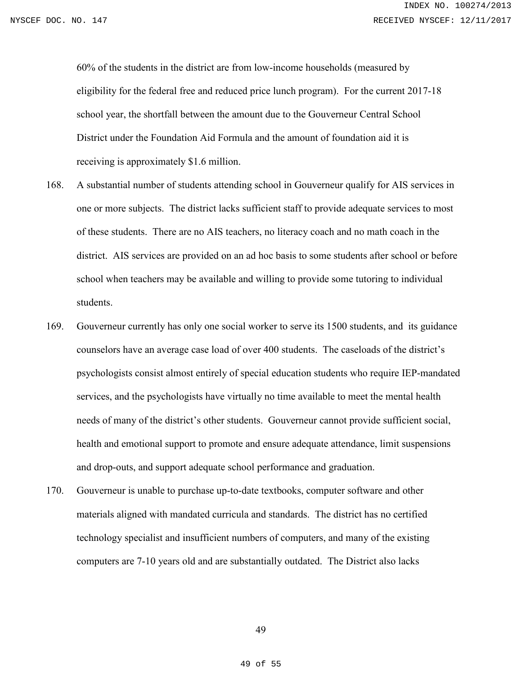60% of the students in the district are from low-income households (measured by eligibility for the federal free and reduced price lunch program). For the current 2017-18 school year, the shortfall between the amount due to the Gouverneur Central School District under the Foundation Aid Formula and the amount of foundation aid it is receiving is approximately \$1.6 million.

- 168. A substantial number of students attending school in Gouverneur qualify for AIS services in one or more subjects. The district lacks sufficient staff to provide adequate services to most of these students. There are no AIS teachers, no literacy coach and no math coach in the district. AIS services are provided on an ad hoc basis to some students after school or before school when teachers may be available and willing to provide some tutoring to individual students.
- 169. Gouverneur currently has only one social worker to serve its 1500 students, and its guidance counselors have an average case load of over 400 students. The caseloads of the district's psychologists consist almost entirely of special education students who require IEP-mandated services, and the psychologists have virtually no time available to meet the mental health needs of many of the district's other students. Gouverneur cannot provide sufficient social, health and emotional support to promote and ensure adequate attendance, limit suspensions and drop-outs, and support adequate school performance and graduation.
- 170. Gouverneur is unable to purchase up-to-date textbooks, computer software and other materials aligned with mandated curricula and standards. The district has no certified technology specialist and insufficient numbers of computers, and many of the existing computers are 7-10 years old and are substantially outdated. The District also lacks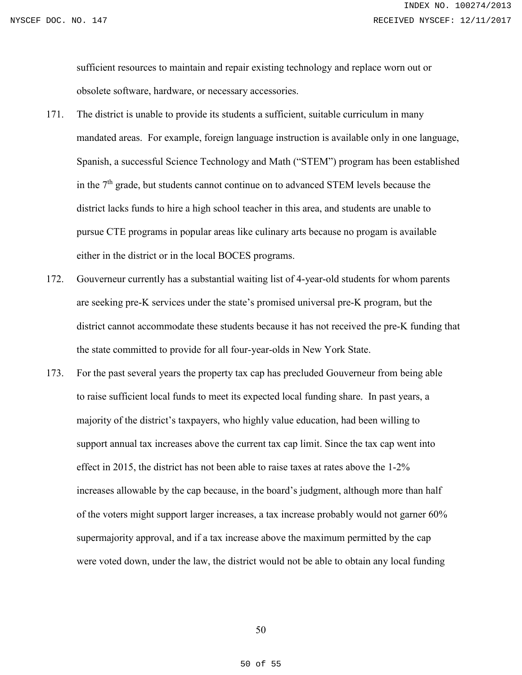sufficient resources to maintain and repair existing technology and replace worn out or obsolete software, hardware, or necessary accessories.

- 171. The district is unable to provide its students a sufficient, suitable curriculum in many mandated areas. For example, foreign language instruction is available only in one language, Spanish, a successful Science Technology and Math ("STEM") program has been established in the 7<sup>th</sup> grade, but students cannot continue on to advanced STEM levels because the district lacks funds to hire a high school teacher in this area, and students are unable to pursue CTE programs in popular areas like culinary arts because no progam is available either in the district or in the local BOCES programs.
- 172. Gouverneur currently has a substantial waiting list of 4-year-old students for whom parents are seeking pre-K services under the state's promised universal pre-K program, but the district cannot accommodate these students because it has not received the pre-K funding that the state committed to provide for all four-year-olds in New York State.
- 173. For the past several years the property tax cap has precluded Gouverneur from being able to raise sufficient local funds to meet its expected local funding share. In past years, a majority of the district's taxpayers, who highly value education, had been willing to support annual tax increases above the current tax cap limit. Since the tax cap went into effect in 2015, the district has not been able to raise taxes at rates above the 1-2% increases allowable by the cap because, in the board's judgment, although more than half of the voters might support larger increases, a tax increase probably would not garner 60% supermajority approval, and if a tax increase above the maximum permitted by the cap were voted down, under the law, the district would not be able to obtain any local funding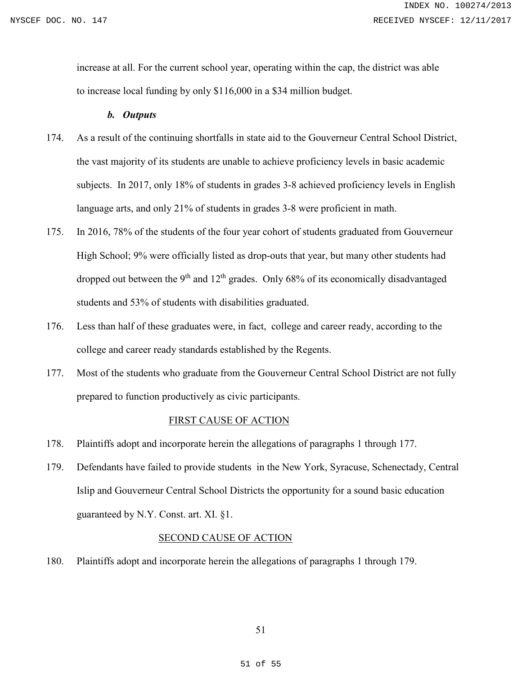increase at all. For the current school year, operating within the cap, the district was able to increase local funding by only \$116,000 in a \$34 million budget.

### *b. Outputs*

- 174. As a result of the continuing shortfalls in state aid to the Gouverneur Central School District, the vast majority of its students are unable to achieve proficiency levels in basic academic subjects. In 2017, only 18% of students in grades 3-8 achieved proficiency levels in English language arts, and only 21% of students in grades 3-8 were proficient in math.
- 175. In 2016, 78% of the students of the four year cohort of students graduated from Gouverneur High School; 9% were officially listed as drop-outs that year, but many other students had dropped out between the  $9<sup>th</sup>$  and  $12<sup>th</sup>$  grades. Only 68% of its economically disadvantaged students and 53% of students with disabilities graduated.
- 176. Less than half of these graduates were, in fact, college and career ready, according to the college and career ready standards established by the Regents.
- 177. Most of the students who graduate from the Gouverneur Central School District are not fully prepared to function productively as civic participants.

### FIRST CAUSE OF ACTION

- 178. Plaintiffs adopt and incorporate herein the allegations of paragraphs 1 through 177.
- 179. Defendants have failed to provide students in the New York, Syracuse, Schenectady, Central Islip and Gouverneur Central School Districts the opportunity for a sound basic education guaranteed by N.Y. Const. art. XI. §1.

# SECOND CAUSE OF ACTION

180. Plaintiffs adopt and incorporate herein the allegations of paragraphs 1 through 179.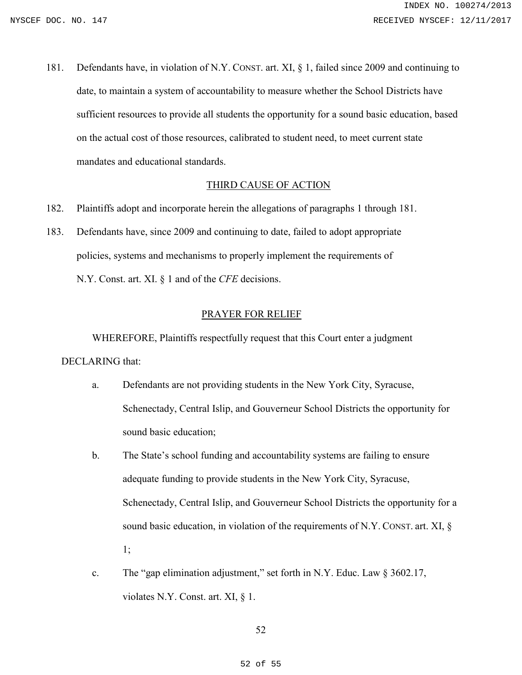181. Defendants have, in violation of N.Y. CONST. art. XI, § 1, failed since 2009 and continuing to date, to maintain a system of accountability to measure whether the School Districts have sufficient resources to provide all students the opportunity for a sound basic education, based on the actual cost of those resources, calibrated to student need, to meet current state mandates and educational standards.

### THIRD CAUSE OF ACTION

- 182. Plaintiffs adopt and incorporate herein the allegations of paragraphs 1 through 181.
- 183. Defendants have, since 2009 and continuing to date, failed to adopt appropriate policies, systems and mechanisms to properly implement the requirements of N.Y. Const. art. XI. § 1 and of the *CFE* decisions.

### PRAYER FOR RELIEF

WHEREFORE, Plaintiffs respectfully request that this Court enter a judgment DECLARING that:

- a. Defendants are not providing students in the New York City, Syracuse, Schenectady, Central Islip, and Gouverneur School Districts the opportunity for sound basic education;
- b. The State's school funding and accountability systems are failing to ensure adequate funding to provide students in the New York City, Syracuse, Schenectady, Central Islip, and Gouverneur School Districts the opportunity for a sound basic education, in violation of the requirements of N.Y. CONST. art. XI, § 1;
- c. The "gap elimination adjustment," set forth in N.Y. Educ. Law  $\S 3602.17$ , violates N.Y. Const. art. XI, § 1.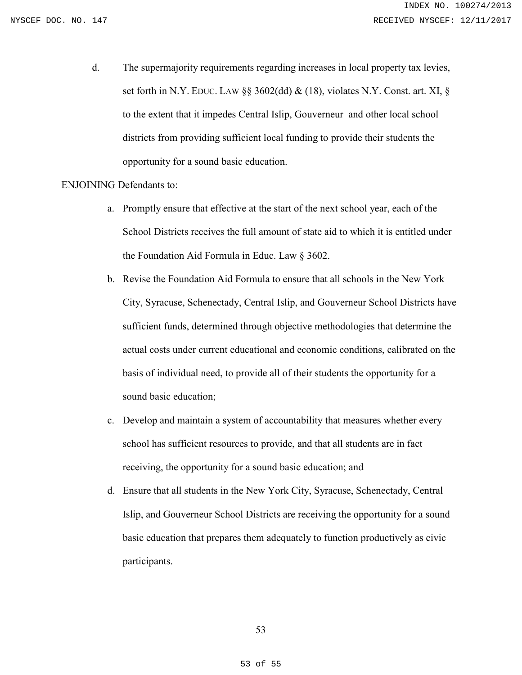d. The supermajority requirements regarding increases in local property tax levies, set forth in N.Y. EDUC. LAW §§ 3602(dd) & (18), violates N.Y. Const. art. XI, § to the extent that it impedes Central Islip, Gouverneur and other local school districts from providing sufficient local funding to provide their students the opportunity for a sound basic education.

## ENJOINING Defendants to:

- a. Promptly ensure that effective at the start of the next school year, each of the School Districts receives the full amount of state aid to which it is entitled under the Foundation Aid Formula in Educ. Law § 3602.
- b. Revise the Foundation Aid Formula to ensure that all schools in the New York City, Syracuse, Schenectady, Central Islip, and Gouverneur School Districts have sufficient funds, determined through objective methodologies that determine the actual costs under current educational and economic conditions, calibrated on the basis of individual need, to provide all of their students the opportunity for a sound basic education;
- c. Develop and maintain a system of accountability that measures whether every school has sufficient resources to provide, and that all students are in fact receiving, the opportunity for a sound basic education; and
- d. Ensure that all students in the New York City, Syracuse, Schenectady, Central Islip, and Gouverneur School Districts are receiving the opportunity for a sound basic education that prepares them adequately to function productively as civic participants.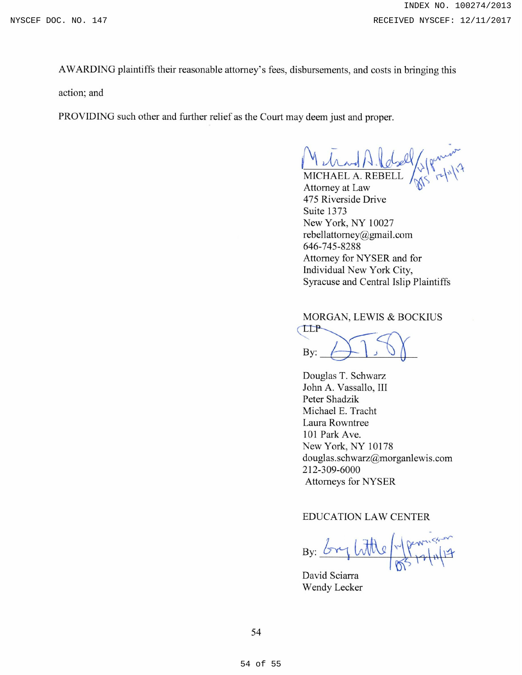AWARDING plaintiffs their reasonable attorney's fees, disbursements, and costs in bringing this

action; and

PROVIDING such other and further relief as the Court may deem just and proper.

 $M_{\text{dual}}(1,1)$ 

MICHAEL A. REBELL  $\int_{N} \langle \cdot | \cdot | \cdot \rangle$ Attorney at Law \\)' 475 Riverside Drive Suite 1373 New York, NY 10027 rebellattorney@gmail.com 646-745-8288 Attorney for NYSER and for Individual New York City, Syracuse and Central Islip Plaintiffs

MORGAN, LEWIS & BOCKIUS

 $_{\rm By:}\n\begin{matrix}\n\downarrow\n\downarrow\n\downarrow\n\end{matrix}$ 

Douglas T. Schwarz John A. Vassallo, III Peter Shadzik Michael E. Tracht Laura Rowntree 101 Park Ave. New York, NY 10178 douglas.schwarz@morganlewis.com 212-309-6000 Attorneys for NYSER

# EDUCATION LAW CENTER

By: <u>bry little when</u>

David Sciarra Wendy Lecker